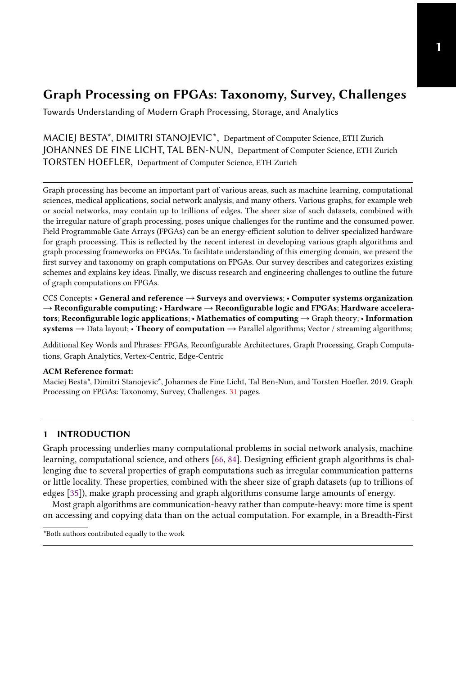Towards Understanding of Modern Graph Processing, Storage, and Analytics

MACIEJ BESTA\*, DIMITRI STANOJEVIC\*, Department of Computer Science, ETH Zurich JOHANNES DE FINE LICHT, TAL BEN-NUN, Department of Computer Science, ETH Zurich TORSTEN HOEFLER, Department of Computer Science, ETH Zurich

Graph processing has become an important part of various areas, such as machine learning, computational sciences, medical applications, social network analysis, and many others. Various graphs, for example web or social networks, may contain up to trillions of edges. The sheer size of such datasets, combined with the irregular nature of graph processing, poses unique challenges for the runtime and the consumed power. Field Programmable Gate Arrays (FPGAs) can be an energy-efficient solution to deliver specialized hardware for graph processing. This is reflected by the recent interest in developing various graph algorithms and graph processing frameworks on FPGAs. To facilitate understanding of this emerging domain, we present the first survey and taxonomy on graph computations on FPGAs. Our survey describes and categorizes existing schemes and explains key ideas. Finally, we discuss research and engineering challenges to outline the future of graph computations on FPGAs.

CCS Concepts: • General and reference → Surveys and overviews; • Computer systems organization  $\rightarrow$  Reconfigurable computing; • Hardware  $\rightarrow$  Reconfigurable logic and FPGAs; Hardware accelerators; Reconfigurable logic applications; • Mathematics of computing → Graph theory; • Information systems  $\rightarrow$  Data layout; • Theory of computation  $\rightarrow$  Parallel algorithms; Vector / streaming algorithms;

Additional Key Words and Phrases: FPGAs, Reconfigurable Architectures, Graph Processing, Graph Computations, Graph Analytics, Vertex-Centric, Edge-Centric

### ACM Reference format:

Maciej Besta\*, Dimitri Stanojevic\*, Johannes de Fine Licht, Tal Ben-Nun, and Torsten Hoefler. 2019. Graph Processing on FPGAs: Taxonomy, Survey, Challenges. [31](#page-30-0) pages.

# 1 INTRODUCTION

Graph processing underlies many computational problems in social network analysis, machine learning, computational science, and others [\[66,](#page-27-0) [84\]](#page-28-0). Designing efficient graph algorithms is challenging due to several properties of graph computations such as irregular communication patterns or little locality. These properties, combined with the sheer size of graph datasets (up to trillions of edges [\[35\]](#page-26-0)), make graph processing and graph algorithms consume large amounts of energy.

Most graph algorithms are communication-heavy rather than compute-heavy: more time is spent on accessing and copying data than on the actual computation. For example, in a Breadth-First

<sup>\*</sup>Both authors contributed equally to the work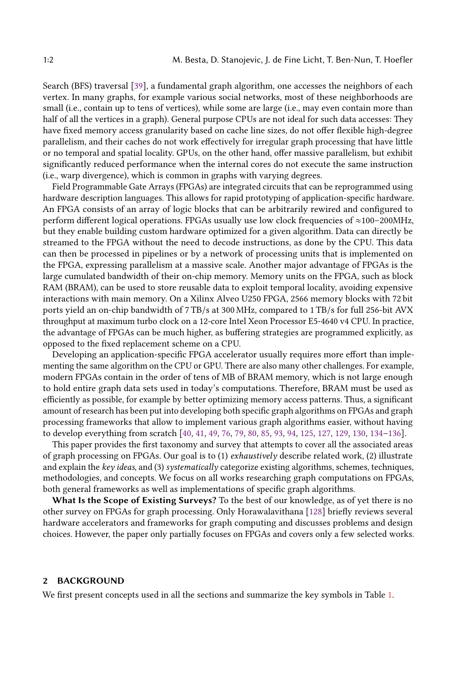Search (BFS) traversal [\[39\]](#page-26-1), a fundamental graph algorithm, one accesses the neighbors of each vertex. In many graphs, for example various social networks, most of these neighborhoods are small (i.e., contain up to tens of vertices), while some are large (i.e., may even contain more than half of all the vertices in a graph). General purpose CPUs are not ideal for such data accesses: They have fixed memory access granularity based on cache line sizes, do not offer flexible high-degree parallelism, and their caches do not work effectively for irregular graph processing that have little or no temporal and spatial locality. GPUs, on the other hand, offer massive parallelism, but exhibit significantly reduced performance when the internal cores do not execute the same instruction (i.e., warp divergence), which is common in graphs with varying degrees.

Field Programmable Gate Arrays (FPGAs) are integrated circuits that can be reprogrammed using hardware description languages. This allows for rapid prototyping of application-specific hardware. An FPGA consists of an array of logic blocks that can be arbitrarily rewired and configured to perform different logical operations. FPGAs usually use low clock frequencies of ≈100–200MHz, but they enable building custom hardware optimized for a given algorithm. Data can directly be streamed to the FPGA without the need to decode instructions, as done by the CPU. This data can then be processed in pipelines or by a network of processing units that is implemented on the FPGA, expressing parallelism at a massive scale. Another major advantage of FPGAs is the large cumulated bandwidth of their on-chip memory. Memory units on the FPGA, such as block RAM (BRAM), can be used to store reusable data to exploit temporal locality, avoiding expensive interactions with main memory. On a Xilinx Alveo U250 FPGA, 2566 memory blocks with 72 bit ports yield an on-chip bandwidth of 7 TB/<sup>s</sup> at 300 MHz, compared to 1 TB/<sup>s</sup> for full 256-bit AVX throughput at maximum turbo clock on a 12-core Intel Xeon Processor E5-4640 v4 CPU. In practice, the advantage of FPGAs can be much higher, as buffering strategies are programmed explicitly, as opposed to the fixed replacement scheme on a CPU.

Developing an application-specific FPGA accelerator usually requires more effort than implementing the same algorithm on the CPU or GPU. There are also many other challenges. For example, modern FPGAs contain in the order of tens of MB of BRAM memory, which is not large enough to hold entire graph data sets used in today's computations. Therefore, BRAM must be used as efficiently as possible, for example by better optimizing memory access patterns. Thus, a significant amount of research has been put into developing both specific graph algorithms on FPGAs and graph processing frameworks that allow to implement various graph algorithms easier, without having to develop everything from scratch [\[40,](#page-26-2) [41,](#page-26-3) [49,](#page-26-4) [76,](#page-27-1) [79,](#page-28-1) [80,](#page-28-2) [85,](#page-28-3) [93,](#page-28-4) [94,](#page-28-5) [125,](#page-30-1) [127,](#page-30-2) [129,](#page-30-3) [130,](#page-30-4) [134](#page-30-5)[–136\]](#page-30-6).

This paper provides the first taxonomy and survey that attempts to cover all the associated areas of graph processing on FPGAs. Our goal is to (1) exhaustively describe related work, (2) illustrate and explain the key ideas, and (3) systematically categorize existing algorithms, schemes, techniques, methodologies, and concepts. We focus on all works researching graph computations on FPGAs, both general frameworks as well as implementations of specific graph algorithms.

What Is the Scope of Existing Surveys? To the best of our knowledge, as of yet there is no other survey on FPGAs for graph processing. Only Horawalavithana [\[128\]](#page-30-7) briefly reviews several hardware accelerators and frameworks for graph computing and discusses problems and design choices. However, the paper only partially focuses on FPGAs and covers only a few selected works.

### 2 BACKGROUND

We first present concepts used in all the sections and summarize the key symbols in Table [1.](#page-2-0)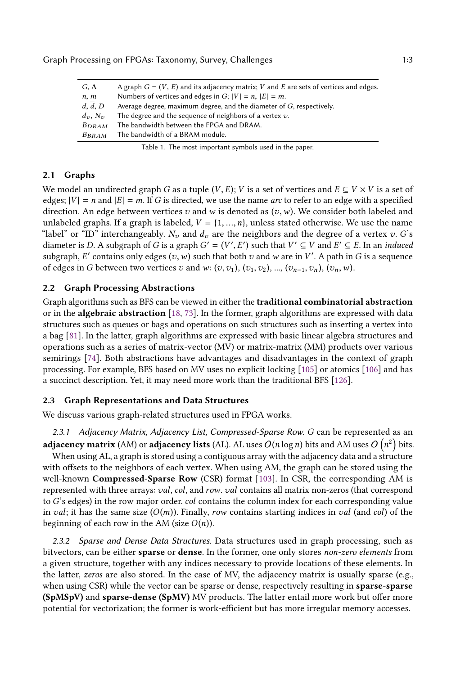<span id="page-2-0"></span>

| G, A                      | A graph $G = (V, E)$ and its adjacency matrix; V and E are sets of vertices and edges. |
|---------------------------|----------------------------------------------------------------------------------------|
| n, m                      | Numbers of vertices and edges in G; $ V  = n$ , $ E  = m$ .                            |
| d, d, D                   | Average degree, maximum degree, and the diameter of $G$ , respectively.                |
| $d_{\tau}$ , $N_{\tau}$ , | The degree and the sequence of neighbors of a vertex $v$ .                             |
| $B_{DRAM}$                | The bandwidth between the FPGA and DRAM.                                               |
| $B_{BRAM}$                | The bandwidth of a BRAM module.                                                        |
|                           |                                                                                        |

|  |  |  |  |  | Table 1. The most important symbols used in the paper. |  |
|--|--|--|--|--|--------------------------------------------------------|--|
|--|--|--|--|--|--------------------------------------------------------|--|

### 2.1 Graphs

We model an undirected graph G as a tuple  $(V, E)$ ; V is a set of vertices and  $E \subseteq V \times V$  is a set of edges;  $|V| = n$  and  $|E| = m$ . If G is directed, we use the name arc to refer to an edge with a specified direction. An edge between vertices v and w is denoted as  $(v, w)$ . We consider both labeled and unlabeled graphs. If a graph is labeled,  $V = \{1, ..., n\}$ , unless stated otherwise. We use the name "label" or "ID" interchangeably.  $N_v$  and  $d_v$  are the neighbors and the degree of a vertex  $v$ . G's diameter is D. A subgraph of G is a graph  $G' = (V', E')$  such that  $V' \subseteq V$  and  $E' \subseteq E$ . In an *induced*<br>subgraph  $F'$  contains only edges  $(u, w)$  such that both zi and w are in  $V'$ . A path in G is a sequence subgraph, E' contains only edges  $(v, w)$  such that both v and w are in V'. A path in G is a sequence of edges in G between two vertices v and w:  $(v, v_1)$ ,  $(v_1, v_2)$ , ...,  $(v_{n-1}, v_n)$ ,  $(v_n, w)$ .

# <span id="page-2-1"></span>2.2 Graph Processing Abstractions

Graph algorithms such as BFS can be viewed in either the traditional combinatorial abstraction or in the algebraic abstraction [\[18,](#page-25-0) [73\]](#page-27-2). In the former, graph algorithms are expressed with data structures such as queues or bags and operations on such structures such as inserting a vertex into a bag [\[81\]](#page-28-6). In the latter, graph algorithms are expressed with basic linear algebra structures and operations such as a series of matrix-vector (MV) or matrix-matrix (MM) products over various semirings [\[74\]](#page-27-3). Both abstractions have advantages and disadvantages in the context of graph processing. For example, BFS based on MV uses no explicit locking [\[105\]](#page-29-0) or atomics [\[106\]](#page-29-1) and has a succinct description. Yet, it may need more work than the traditional BFS [\[126\]](#page-30-8).

### 2.3 Graph Representations and Data Structures

We discuss various graph-related structures used in FPGA works.

2.3.1 Adjacency Matrix, Adjacency List, Compressed-Sparse Row. G can be represented as an **adjacency matrix** (AM) or **adjacency lists** (AL). AL uses  $O(n \log n)$  bits and AM uses  $O(n^2)$  bits.<br>When using AL, a graph is stored using a contiguous array with the adjacency data and a structure.

n When using AL, a graph is stored using a contiguous array with the adjacency data and a structure with offsets to the neighbors of each vertex. When using AM, the graph can be stored using the well-known Compressed-Sparse Row (CSR) format [\[103\]](#page-29-2). In CSR, the corresponding AM is represented with three arrays: val, col, and row. val contains all matrix non-zeros (that correspond to G's edges) in the row major order. col contains the column index for each corresponding value in val; it has the same size  $(O(m))$ . Finally, row contains starting indices in val (and col) of the beginning of each row in the AM (size  $O(n)$ ).

<span id="page-2-2"></span>2.3.2 Sparse and Dense Data Structures. Data structures used in graph processing, such as bitvectors, can be either sparse or dense. In the former, one only stores non-zero elements from a given structure, together with any indices necessary to provide locations of these elements. In the latter, zeros are also stored. In the case of MV, the adjacency matrix is usually sparse (e.g., when using CSR) while the vector can be sparse or dense, respectively resulting in sparse-sparse (SpMSpV) and sparse-dense (SpMV) MV products. The latter entail more work but offer more potential for vectorization; the former is work-efficient but has more irregular memory accesses.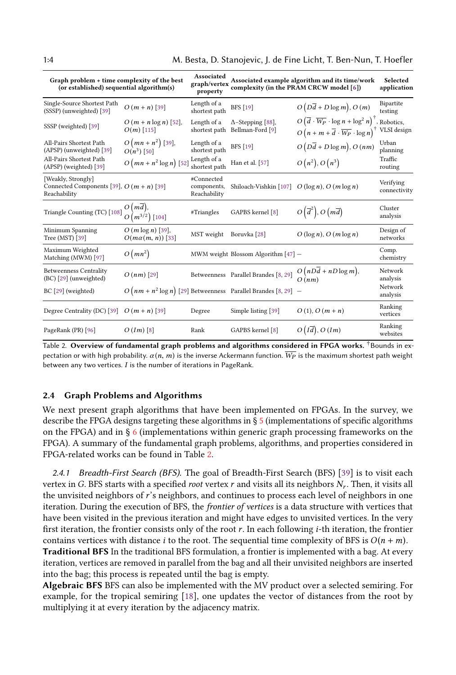1:4 M. Besta, D. Stanojevic, J. de Fine Licht, T. Ben-Nun, T. Hoefler

<span id="page-3-0"></span>

| Graph problem + time complexity of the best<br>(or established) sequential algorithm(s) |                                                | Associated<br>graph/vertex<br>property    |                                                                  | Associated example algorithm and its time/work<br>complexity (in the PRAM CRCW model [6])                                                                          | Selected<br>application   |  |
|-----------------------------------------------------------------------------------------|------------------------------------------------|-------------------------------------------|------------------------------------------------------------------|--------------------------------------------------------------------------------------------------------------------------------------------------------------------|---------------------------|--|
| Single-Source Shortest Path<br>(SSSP) (unweighted) [39]                                 | $O(m+n)$ [39]                                  | Length of a<br>shortest path              | <b>BFS</b> [19]                                                  | $O(D\overline{d} + D\log m)$ , $O(m)$                                                                                                                              | Bipartite<br>testing      |  |
| SSSP (weighted) [39]                                                                    | $O(m + n \log n)$ [52],<br>$O(m)$ [115]        | Length of a<br>shortest path              | $\Delta$ -Stepping [88],<br>Bellman-Ford [9]                     | $O\left(\overline{d}\cdot\overline{W_P}\cdot\log n+\log^2 n\right)^{\dagger}$ , Robotics,<br>$O(n + m + \overline{d} \cdot \overline{W_P} \cdot \log n)^{\dagger}$ | VLSI design               |  |
| All-Pairs Shortest Path<br>(APSP) (unweighted) [39]                                     | $O(mn + n^2)$ [39],<br>$O(n^3)$ [50]           | Length of a<br>shortest path              | <b>BFS</b> [19]                                                  | $O(D\overline{d} + D\log m)$ , $O(nm)$                                                                                                                             | Urban<br>planning         |  |
| All-Pairs Shortest Path<br>(APSP) (weighted) [39]                                       | $O(mn + n^2 \log n)$ [52]                      | Length of a<br>shortest path              | Han et al. [57]                                                  | $O(n^2)$ , $O(n^3)$                                                                                                                                                | Traffic<br>routing        |  |
| [Weakly, Strongly]<br>Connected Components [39], $O(m + n)$ [39]<br>Reachability        |                                                | #Connected<br>components,<br>Reachability | Shiloach-Vishkin [107] $O(\log n)$ , $O(m \log n)$               |                                                                                                                                                                    | Verifying<br>connectivity |  |
| Triangle Counting (TC) [108]                                                            | $O(md)$ ,<br>$O(m^{3/2})$ [104]                | #Triangles                                | GAPBS kernel [8]                                                 | $O\left(\overline{d}^2\right), O\left(m\overline{d}\right)$                                                                                                        | Cluster<br>analysis       |  |
| Minimum Spanning<br>Tree (MST) [39]                                                     | $O(m \log n)$ [39],<br>$O(m\alpha(m, n))$ [33] | MST weight                                | Boruvka <sup>[28]</sup>                                          | $O(\log n)$ , $O(m \log n)$                                                                                                                                        | Design of<br>networks     |  |
| Maximum Weighted<br>Matching (MWM) [97]                                                 | $O(mn^2)$                                      |                                           | MWM weight Blossom Algorithm $[47]$ -                            |                                                                                                                                                                    | Comp.<br>chemistry        |  |
| <b>Betweenness Centrality</b><br>(BC) [29] (unweighted)                                 | $O(nm)$ [29]                                   |                                           | Betweenness Parallel Brandes [8, 29]                             | $O(nD\overline{d} + nD\log m),$<br>O(nm)                                                                                                                           | Network<br>analysis       |  |
| BC [29] (weighted)                                                                      |                                                |                                           | $O(nm + n^2 \log n)$ [29] Betweenness Parallel Brandes [8, 29] – |                                                                                                                                                                    | Network<br>analysis       |  |
| Degree Centrality (DC) [39] $O(m+n)$ [39]                                               |                                                | Degree                                    | Simple listing [39]                                              | $O(1), O(m+n)$                                                                                                                                                     | Ranking<br>vertices       |  |
| PageRank (PR) [96]                                                                      | $O(Im)$ [8]                                    | Rank                                      | GAPBS kernel [8]                                                 | O(Id), O(Im)                                                                                                                                                       | Ranking<br>websites       |  |

Table 2. Overview of fundamental graph problems and algorithms considered in FPGA works. *FBounds in ex*pectation or with high probability.  $\alpha(n, m)$  is the inverse Ackermann function.  $\overline{W_P}$  is the maximum shortest path weight between any two vertices.  $I$  is the number of iterations in PageRank.

# <span id="page-3-1"></span>2.4 Graph Problems and Algorithms

We next present graph algorithms that have been implemented on FPGAs. In the survey, we describe the FPGA designs targeting these algorithms in § [5](#page-12-0) (implementations of specific algorithms on the FPGA) and in  $\S 6$  $\S 6$  (implementations within generic graph processing frameworks on the FPGA). A summary of the fundamental graph problems, algorithms, and properties considered in FPGA-related works can be found in Table [2.](#page-3-0)

2.4.1 Breadth-First Search (BFS). The goal of Breadth-First Search (BFS) [\[39\]](#page-26-1) is to visit each vertex in G. BFS starts with a specified *root* vertex  $r$  and visits all its neighbors  $N_r$ . Then, it visits all<br>the unvisited neighbors of  $r$ 's neighbors, and continues to process each level of neighbors in one the unvisited neighbors of r's neighbors, and continues to process each level of neighbors in one iteration. During the execution of BFS, the *frontier of vertices* is a data structure with vertices that have been visited in the previous iteration and might have edges to unvisited vertices. In the very first iteration, the frontier consists only of the root r. In each following i-th iteration, the frontier contains vertices with distance *i* to the root. The sequential time complexity of BFS is  $O(n + m)$ .

Traditional BFS In the traditional BFS formulation, a frontier is implemented with a bag. At every iteration, vertices are removed in parallel from the bag and all their unvisited neighbors are inserted into the bag; this process is repeated until the bag is empty.

Algebraic BFS BFS can also be implemented with the MV product over a selected semiring. For example, for the tropical semiring [\[18\]](#page-25-0), one updates the vector of distances from the root by multiplying it at every iteration by the adjacency matrix.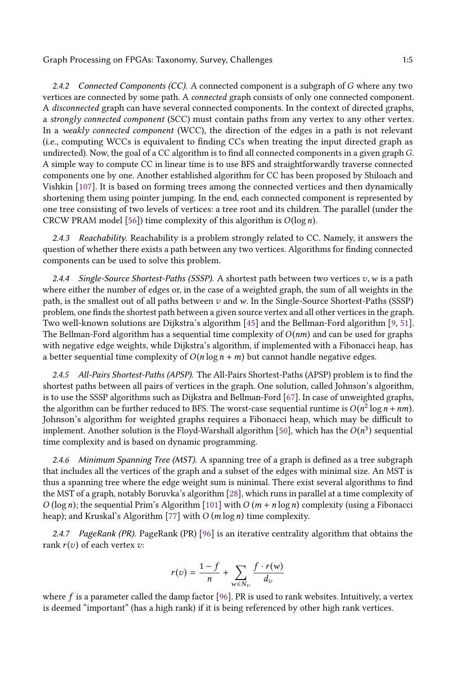2.4.2 Connected Components (CC). A connected component is a subgraph of  $G$  where any two vertices are connected by some path. A connected graph consists of only one connected component. A disconnected graph can have several connected components. In the context of directed graphs, a strongly connected component (SCC) must contain paths from any vertex to any other vertex. In a weakly connected component (WCC), the direction of the edges in a path is not relevant (i.e., computing WCCs is equivalent to finding CCs when treating the input directed graph as undirected). Now, the goal of a CC algorithm is to find all connected components in a given graph G. A simple way to compute CC in linear time is to use BFS and straightforwardly traverse connected components one by one. Another established algorithm for CC has been proposed by Shiloach and Vishkin [\[107\]](#page-29-4). It is based on forming trees among the connected vertices and then dynamically shortening them using pointer jumping. In the end, each connected component is represented by one tree consisting of two levels of vertices: a tree root and its children. The parallel (under the CRCW PRAM model [\[56\]](#page-27-5)) time complexity of this algorithm is  $O(\log n)$ .

2.4.3 Reachability. Reachability is a problem strongly related to CC. Namely, it answers the question of whether there exists a path between any two vertices. Algorithms for finding connected components can be used to solve this problem.

2.4.4 Single-Source Shortest-Paths (SSSP). A shortest path between two vertices  $v, w$  is a path where either the number of edges or, in the case of a weighted graph, the sum of all weights in the path, is the smallest out of all paths between  $v$  and  $w$ . In the Single-Source Shortest-Paths (SSSP) problem, one finds the shortest path between a given source vertex and all other vertices in the graph. Two well-known solutions are Dijkstra's algorithm [\[45\]](#page-26-9) and the Bellman-Ford algorithm [\[9,](#page-24-1) [51\]](#page-26-10). The Bellman-Ford algorithm has a sequential time complexity of  $O(nm)$  and can be used for graphs with negative edge weights, while Dijkstra's algorithm, if implemented with a Fibonacci heap, has a better sequential time complexity of  $O(n \log n + m)$  but cannot handle negative edges.

2.4.5 All-Pairs Shortest-Paths (APSP). The All-Pairs Shortest-Paths (APSP) problem is to find the shortest paths between all pairs of vertices in the graph. One solution, called Johnson's algorithm, is to use the SSSP algorithms such as Dijkstra and Bellman-Ford [\[67\]](#page-27-6). In case of unweighted graphs, the algorithm can be further reduced to BFS. The worst-case sequential runtime is  $O(n^2 \log n + nm)$ .<br>Johnson's algorithm for weighted graphs requires a Fibonacci bean which may be difficult to Johnson's algorithm for weighted graphs requires a Fibonacci heap, which may be difficult to implement. Another solution is the Floyd-Warshall algorithm [\[50\]](#page-26-6), which has the  $O(n^3)$  sequential<br>time complexity and is based on dynamic programming time complexity and is based on dynamic programming.

2.4.6 Minimum Spanning Tree (MST). A spanning tree of a graph is defined as a tree subgraph that includes all the vertices of the graph and a subset of the edges with minimal size. An MST is thus a spanning tree where the edge weight sum is minimal. There exist several algorithms to find the MST of a graph, notably Boruvka's algorithm [\[28\]](#page-25-2), which runs in parallel at a time complexity of O (log n); the sequential Prim's Algorithm [\[101\]](#page-29-7) with  $O(m + n \log n)$  complexity (using a Fibonacci heap); and Kruskal's Algorithm [\[77\]](#page-27-7) with  $O(m \log n)$  time complexity.

2.4.7 PageRank (PR). PageRank (PR) [\[96\]](#page-28-9) is an iterative centrality algorithm that obtains the rank  $r(v)$  of each vertex  $v$ :

$$
r(v) = \frac{1 - f}{n} + \sum_{w \in N_v} \frac{f \cdot r(w)}{d_v}
$$

where  $f$  is a parameter called the damp factor [\[96\]](#page-28-9). PR is used to rank websites. Intuitively, a vertex is deemed "important" (has a high rank) if it is being referenced by other high rank vertices.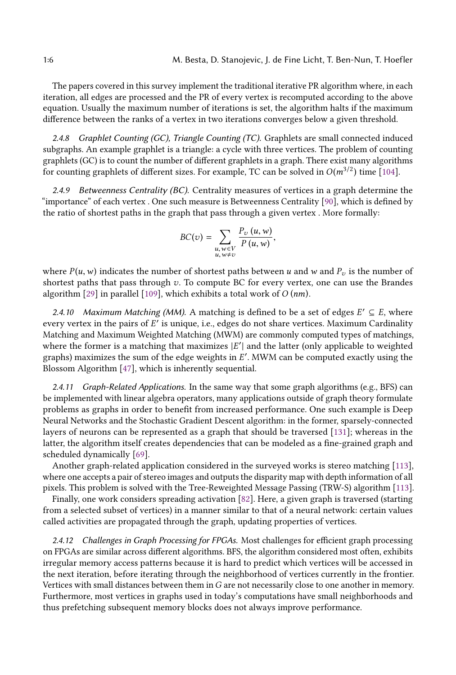The papers covered in this survey implement the traditional iterative PR algorithm where, in each iteration, all edges are processed and the PR of every vertex is recomputed according to the above equation. Usually the maximum number of iterations is set, the algorithm halts if the maximum difference between the ranks of a vertex in two iterations converges below a given threshold.

2.4.8 Graphlet Counting (GC), Triangle Counting (TC). Graphlets are small connected induced subgraphs. An example graphlet is a triangle: a cycle with three vertices. The problem of counting graphlets (GC) is to count the number of different graphlets in a graph. There exist many algorithms for counting graphlets of different sizes. For example, TC can be solved in  $O(m^{3/2})$  time [\[104\]](#page-29-6).

2.4.9 Betweenness Centrality (BC). Centrality measures of vertices in a graph determine the "importance" of each vertex . One such measure is Betweenness Centrality [\[90\]](#page-28-10), which is defined by the ratio of shortest paths in the graph that pass through a given vertex . More formally:

$$
BC(v) = \sum_{\substack{u, w \in V \\ u, w \neq v}} \frac{P_v(u, w)}{P(u, w)},
$$

where  $P(u, w)$  indicates the number of shortest paths between u and w and  $P_v$  is the number of shortest paths that pass through v. To compute BC for every vertex, one can use the Brandes algorithm [\[29\]](#page-25-3) in parallel [\[109\]](#page-29-8), which exhibits a total work of  $O(nm)$ .

2.4.10 Maximum Matching (MM). A matching is defined to be a set of edges  $E' \subseteq E$ , where ery vertex in the pairs of  $E'$  is unique i.e., edges do not share vertices. Maximum Cardinality every vertex in the pairs of E<sup>'</sup> is unique, i.e., edges do not share vertices. Maximum Cardinality<br>Matching and Maximum Weighted Matching (MWM) are commonly computed types of matchings Matching and Maximum Weighted Matching (MWM) are commonly computed types of matchings, where the former is a matching that maximizes  $|E'|$  and the latter (only applicable to weighted<br>graphs) maximizes the sum of the edge weights in  $E'$ . MWM can be computed exactly using the graphs) maximizes the sum of the edge weights in E'. MWM can be computed exactly using the Blossom Algorithm [47], which is inherently sequential Blossom Algorithm [\[47\]](#page-26-8), which is inherently sequential.

2.4.11 Graph-Related Applications. In the same way that some graph algorithms (e.g., BFS) can be implemented with linear algebra operators, many applications outside of graph theory formulate problems as graphs in order to benefit from increased performance. One such example is Deep Neural Networks and the Stochastic Gradient Descent algorithm: in the former, sparsely-connected layers of neurons can be represented as a graph that should be traversed [\[131\]](#page-30-9); whereas in the latter, the algorithm itself creates dependencies that can be modeled as a fine-grained graph and scheduled dynamically [\[69\]](#page-27-8).

Another graph-related application considered in the surveyed works is stereo matching [\[113\]](#page-29-9), where one accepts a pair of stereo images and outputs the disparity map with depth information of all pixels. This problem is solved with the Tree-Reweighted Message Passing (TRW-S) algorithm [\[113\]](#page-29-9).

Finally, one work considers spreading activation [\[82\]](#page-28-11). Here, a given graph is traversed (starting from a selected subset of vertices) in a manner similar to that of a neural network: certain values called activities are propagated through the graph, updating properties of vertices.

2.4.12 Challenges in Graph Processing for FPGAs. Most challenges for efficient graph processing on FPGAs are similar across different algorithms. BFS, the algorithm considered most often, exhibits irregular memory access patterns because it is hard to predict which vertices will be accessed in the next iteration, before iterating through the neighborhood of vertices currently in the frontier. Vertices with small distances between them inG are not necessarily close to one another in memory. Furthermore, most vertices in graphs used in today's computations have small neighborhoods and thus prefetching subsequent memory blocks does not always improve performance.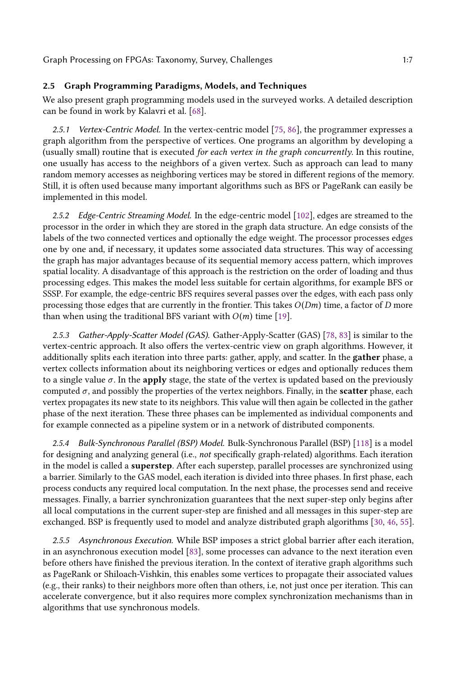# <span id="page-6-0"></span>2.5 Graph Programming Paradigms, Models, and Techniques

We also present graph programming models used in the surveyed works. A detailed description can be found in work by Kalavri et al. [\[68\]](#page-27-9).

2.5.1 Vertex-Centric Model. In the vertex-centric model [\[75,](#page-27-10) [86\]](#page-28-12), the programmer expresses a graph algorithm from the perspective of vertices. One programs an algorithm by developing a (usually small) routine that is executed for each vertex in the graph concurrently. In this routine, one usually has access to the neighbors of a given vertex. Such as approach can lead to many random memory accesses as neighboring vertices may be stored in different regions of the memory. Still, it is often used because many important algorithms such as BFS or PageRank can easily be implemented in this model.

2.5.2 Edge-Centric Streaming Model. In the edge-centric model [\[102\]](#page-29-10), edges are streamed to the processor in the order in which they are stored in the graph data structure. An edge consists of the labels of the two connected vertices and optionally the edge weight. The processor processes edges one by one and, if necessary, it updates some associated data structures. This way of accessing the graph has major advantages because of its sequential memory access pattern, which improves spatial locality. A disadvantage of this approach is the restriction on the order of loading and thus processing edges. This makes the model less suitable for certain algorithms, for example BFS or SSSP. For example, the edge-centric BFS requires several passes over the edges, with each pass only processing those edges that are currently in the frontier. This takes  $O(Dm)$  time, a factor of D more than when using the traditional BFS variant with  $O(m)$  time [\[19\]](#page-25-1).

2.5.3 Gather-Apply-Scatter Model (GAS). Gather-Apply-Scatter (GAS) [\[78,](#page-28-13) [83\]](#page-28-14) is similar to the vertex-centric approach. It also offers the vertex-centric view on graph algorithms. However, it additionally splits each iteration into three parts: gather, apply, and scatter. In the gather phase, a vertex collects information about its neighboring vertices or edges and optionally reduces them to a single value  $\sigma$ . In the apply stage, the state of the vertex is updated based on the previously computed  $\sigma$ , and possibly the properties of the vertex neighbors. Finally, in the **scatter** phase, each vertex propagates its new state to its neighbors. This value will then again be collected in the gather phase of the next iteration. These three phases can be implemented as individual components and for example connected as a pipeline system or in a network of distributed components.

2.5.4 Bulk-Synchronous Parallel (BSP) Model. Bulk-Synchronous Parallel (BSP) [\[118\]](#page-29-11) is a model for designing and analyzing general (i.e., not specifically graph-related) algorithms. Each iteration in the model is called a superstep. After each superstep, parallel processes are synchronized using a barrier. Similarly to the GAS model, each iteration is divided into three phases. In first phase, each process conducts any required local computation. In the next phase, the processes send and receive messages. Finally, a barrier synchronization guarantees that the next super-step only begins after all local computations in the current super-step are finished and all messages in this super-step are exchanged. BSP is frequently used to model and analyze distributed graph algorithms [\[30,](#page-25-4) [46,](#page-26-11) [55\]](#page-27-11).

2.5.5 Asynchronous Execution. While BSP imposes a strict global barrier after each iteration, in an asynchronous execution model [\[83\]](#page-28-14), some processes can advance to the next iteration even before others have finished the previous iteration. In the context of iterative graph algorithms such as PageRank or Shiloach-Vishkin, this enables some vertices to propagate their associated values (e.g., their ranks) to their neighbors more often than others, i.e, not just once per iteration. This can accelerate convergence, but it also requires more complex synchronization mechanisms than in algorithms that use synchronous models.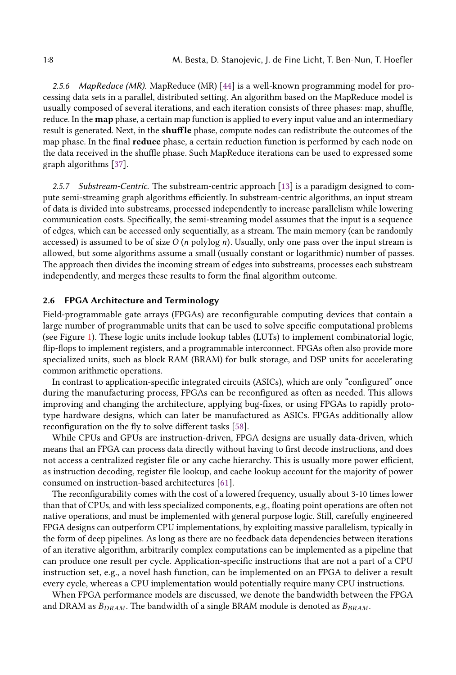2.5.6 MapReduce (MR). MapReduce (MR) [\[44\]](#page-26-12) is a well-known programming model for processing data sets in a parallel, distributed setting. An algorithm based on the MapReduce model is usually composed of several iterations, and each iteration consists of three phases: map, shuffle, reduce. In the map phase, a certain map function is applied to every input value and an intermediary result is generated. Next, in the shuffle phase, compute nodes can redistribute the outcomes of the map phase. In the final reduce phase, a certain reduction function is performed by each node on the data received in the shuffle phase. Such MapReduce iterations can be used to expressed some graph algorithms [\[37\]](#page-26-13).

2.5.7 Substream-Centric. The substream-centric approach [\[13\]](#page-25-5) is a paradigm designed to compute semi-streaming graph algorithms efficiently. In substream-centric algorithms, an input stream of data is divided into substreams, processed independently to increase parallelism while lowering communication costs. Specifically, the semi-streaming model assumes that the input is a sequence of edges, which can be accessed only sequentially, as a stream. The main memory (can be randomly accessed) is assumed to be of size  $O$  (n polylog n). Usually, only one pass over the input stream is allowed, but some algorithms assume a small (usually constant or logarithmic) number of passes. The approach then divides the incoming stream of edges into substreams, processes each substream independently, and merges these results to form the final algorithm outcome.

# 2.6 FPGA Architecture and Terminology

Field-programmable gate arrays (FPGAs) are reconfigurable computing devices that contain a large number of programmable units that can be used to solve specific computational problems (see Figure [1\)](#page-8-0). These logic units include lookup tables (LUTs) to implement combinatorial logic, flip-flops to implement registers, and a programmable interconnect. FPGAs often also provide more specialized units, such as block RAM (BRAM) for bulk storage, and DSP units for accelerating common arithmetic operations.

In contrast to application-specific integrated circuits (ASICs), which are only "configured" once during the manufacturing process, FPGAs can be reconfigured as often as needed. This allows improving and changing the architecture, applying bug-fixes, or using FPGAs to rapidly prototype hardware designs, which can later be manufactured as ASICs. FPGAs additionally allow reconfiguration on the fly to solve different tasks [\[58\]](#page-27-12).

While CPUs and GPUs are instruction-driven, FPGA designs are usually data-driven, which means that an FPGA can process data directly without having to first decode instructions, and does not access a centralized register file or any cache hierarchy. This is usually more power efficient, as instruction decoding, register file lookup, and cache lookup account for the majority of power consumed on instruction-based architectures [\[61\]](#page-27-13).

The reconfigurability comes with the cost of a lowered frequency, usually about 3-10 times lower than that of CPUs, and with less specialized components, e.g., floating point operations are often not native operations, and must be implemented with general purpose logic. Still, carefully engineered FPGA designs can outperform CPU implementations, by exploiting massive parallelism, typically in the form of deep pipelines. As long as there are no feedback data dependencies between iterations of an iterative algorithm, arbitrarily complex computations can be implemented as a pipeline that can produce one result per cycle. Application-specific instructions that are not a part of a CPU instruction set, e.g., a novel hash function, can be implemented on an FPGA to deliver a result every cycle, whereas a CPU implementation would potentially require many CPU instructions.

When FPGA performance models are discussed, we denote the bandwidth between the FPGA and DRAM as  $B_{DRAM}$ . The bandwidth of a single BRAM module is denoted as  $B_{BRAM}$ .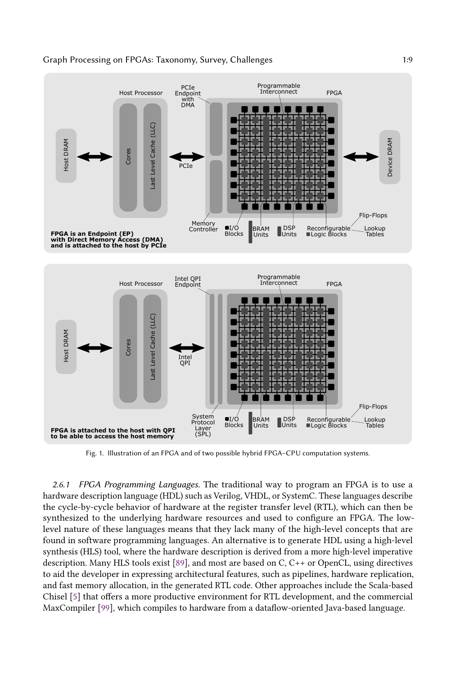<span id="page-8-0"></span>

Fig. 1. Illustration of an FPGA and of two possible hybrid FPGA–CPU computation systems.

2.6.1 FPGA Programming Languages. The traditional way to program an FPGA is to use a hardware description language (HDL) such as Verilog, VHDL, or SystemC. These languages describe the cycle-by-cycle behavior of hardware at the register transfer level (RTL), which can then be synthesized to the underlying hardware resources and used to configure an FPGA. The lowlevel nature of these languages means that they lack many of the high-level concepts that are found in software programming languages. An alternative is to generate HDL using a high-level synthesis (HLS) tool, where the hardware description is derived from a more high-level imperative description. Many HLS tools exist [\[89\]](#page-28-15), and most are based on C, C++ or OpenCL, using directives to aid the developer in expressing architectural features, such as pipelines, hardware replication, and fast memory allocation, in the generated RTL code. Other approaches include the Scala-based Chisel [\[5\]](#page-24-3) that offers a more productive environment for RTL development, and the commercial MaxCompiler [\[99\]](#page-29-12), which compiles to hardware from a dataflow-oriented Java-based language.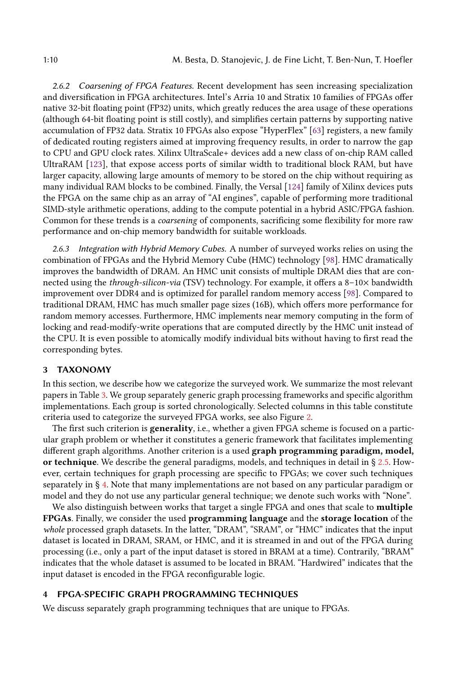2.6.2 Coarsening of FPGA Features. Recent development has seen increasing specialization and diversification in FPGA architectures. Intel's Arria 10 and Stratix 10 families of FPGAs offer native 32-bit floating point (FP32) units, which greatly reduces the area usage of these operations (although 64-bit floating point is still costly), and simplifies certain patterns by supporting native accumulation of FP32 data. Stratix 10 FPGAs also expose "HyperFlex" [\[63\]](#page-27-14) registers, a new family of dedicated routing registers aimed at improving frequency results, in order to narrow the gap to CPU and GPU clock rates. Xilinx UltraScale+ devices add a new class of on-chip RAM called UltraRAM [\[123\]](#page-30-10), that expose access ports of similar width to traditional block RAM, but have larger capacity, allowing large amounts of memory to be stored on the chip without requiring as many individual RAM blocks to be combined. Finally, the Versal [\[124\]](#page-30-11) family of Xilinx devices puts the FPGA on the same chip as an array of "AI engines", capable of performing more traditional SIMD-style arithmetic operations, adding to the compute potential in a hybrid ASIC/FPGA fashion. Common for these trends is a coarsening of components, sacrificing some flexibility for more raw performance and on-chip memory bandwidth for suitable workloads.

<span id="page-9-1"></span>2.6.3 Integration with Hybrid Memory Cubes. A number of surveyed works relies on using the combination of FPGAs and the Hybrid Memory Cube (HMC) technology [\[98\]](#page-28-16). HMC dramatically improves the bandwidth of DRAM. An HMC unit consists of multiple DRAM dies that are connected using the through-silicon-via (TSV) technology. For example, it offers a 8–10× bandwidth improvement over DDR4 and is optimized for parallel random memory access [\[98\]](#page-28-16). Compared to traditional DRAM, HMC has much smaller page sizes (16B), which offers more performance for random memory accesses. Furthermore, HMC implements near memory computing in the form of locking and read-modify-write operations that are computed directly by the HMC unit instead of the CPU. It is even possible to atomically modify individual bits without having to first read the corresponding bytes.

### 3 TAXONOMY

In this section, we describe how we categorize the surveyed work. We summarize the most relevant papers in Table [3.](#page-10-0) We group separately generic graph processing frameworks and specific algorithm implementations. Each group is sorted chronologically. Selected columns in this table constitute criteria used to categorize the surveyed FPGA works, see also Figure [2.](#page-11-0)

The first such criterion is **generality**, i.e., whether a given FPGA scheme is focused on a particular graph problem or whether it constitutes a generic framework that facilitates implementing different graph algorithms. Another criterion is a used graph programming paradigm, model, or technique. We describe the general paradigms, models, and techniques in detail in  $\S 2.5$ . However, certain techniques for graph processing are specific to FPGAs; we cover such techniques separately in § [4.](#page-9-0) Note that many implementations are not based on any particular paradigm or model and they do not use any particular general technique; we denote such works with "None".

We also distinguish between works that target a single FPGA and ones that scale to multiple FPGAs. Finally, we consider the used programming language and the storage location of the whole processed graph datasets. In the latter, "DRAM", "SRAM", or "HMC" indicates that the input dataset is located in DRAM, SRAM, or HMC, and it is streamed in and out of the FPGA during processing (i.e., only a part of the input dataset is stored in BRAM at a time). Contrarily, "BRAM" indicates that the whole dataset is assumed to be located in BRAM. "Hardwired" indicates that the input dataset is encoded in the FPGA reconfigurable logic.

### <span id="page-9-0"></span>4 FPGA-SPECIFIC GRAPH PROGRAMMING TECHNIQUES

We discuss separately graph programming techniques that are unique to FPGAs.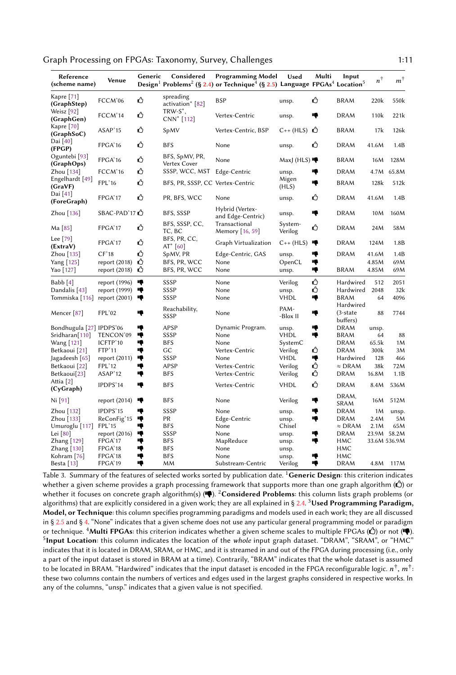|  |  | Graph Processing on FPGAs: Taxonomy, Survey, Challenges |  |
|--|--|---------------------------------------------------------|--|
|--|--|---------------------------------------------------------|--|

<span id="page-10-0"></span>

| Kapre $[71]$<br>spreading<br>ᠿ<br>ᠿ<br>FCCM'06<br><b>BSP</b><br><b>BRAM</b><br>550k<br>220k<br>unsp.<br>(GraphStep)<br>activation <sup>*</sup> [82]<br>$TRW-S^*$ ,<br>Weisz [92]<br>↺<br>FCCM'14<br>Vertex-Centric<br>♦<br><b>DRAM</b><br>110 <sub>k</sub><br>221k<br>unsp.<br>CNN <sup>*</sup> [112]<br>(GraphGen)<br>Kapre [70]<br>Ű<br>ASAP'15<br>Vertex-Centric, BSP<br>$C++$ (HLS) $C$<br><b>BRAM</b><br>17k<br>126k<br>SpMV<br>(GraphSoC)<br>Dai [40]<br>Ω<br>Δ<br>FPGA'16<br><b>BFS</b><br><b>DRAM</b><br>41.6M<br>1.4B<br>None<br>unsp.<br>(FPGP)<br>Oguntebi [93]<br>BFS, SpMV, PR,<br>ᠿ<br>FPGA'16<br><b>BRAM</b><br>None<br>MaxJ (HLS)<br>16M<br>128M<br>Vertex Cover<br>(GraphOps)<br>ᠿ<br>FCCM'16<br>SSSP, WCC, MST Edge-Centric<br><b>DRAM</b><br>4.7M<br>65.8M<br>Zhou $[134]$<br>10<br>unsp.<br>Engelhardt [49]<br>Migen<br>ᠿ<br>FPL'16<br>BFS, PR, SSSP, CC Vertex-Centric<br>18<br><b>BRAM</b><br>128k<br>512k<br>(GraVF)<br>(HLS)<br>Dai [41]<br>Ω<br>ᠿ<br>1.4B<br>FPGA'17<br>PR, BFS, WCC<br><b>DRAM</b><br>41.6M<br>None<br>unsp.<br>(ForeGraph)<br>Hybrid (Vertex-<br>SBAC-PAD'17<br>ą<br><b>DRAM</b><br>160M<br>Zhou [136]<br>BFS, SSSP<br>10M<br>unsp.<br>and Edge-Centric)<br>BFS, SSSP, CC,<br>Transactional<br>System-<br>ᠿ<br>ᠿ<br>FPGA'17<br><b>DRAM</b><br>24M<br>58M<br>Ma [85]<br>Verilog<br>TC, BC<br>Memory [16, 59]<br>Lee $[79]$<br>BFS, PR, CC,<br>↺<br>FPGA'17<br><b>DRAM</b><br>1.8B<br>Graph Virtualization<br>$C_{++}$ (HLS)<br>ą<br>124M<br>(ExtraV)<br>AT $*$ [60]<br>ᠿ<br>CF'18<br>Edge-Centric, GAS<br>♥<br><b>DRAM</b><br>1.4B<br>Zhou [135]<br>SpMV, PR<br>41.6M<br>unsp.<br>↺<br>۰ę<br>69M<br>Yang [125]<br>report (2018)<br>BFS, PR, WCC<br>None<br>OpenCL<br>4.85M<br>↺<br>۱ę<br><b>BRAM</b><br>69M<br>report $(2018)$<br>BFS, PR, WCC<br>4.85M<br>Yao [127]<br>None<br>unsp.<br>Ů<br>۱ę<br>Hardwired<br>2051<br>Babb [4]<br>report (1996)<br>SSSP<br>None<br>Verilog<br>512<br>ᠿ<br>SSSP<br>2048<br>32k<br>Dandalis [43]<br>report (1999)<br>∙<br>None<br>Hardwired<br>unsp.<br>SSSP<br><b>VHDL</b><br>ą<br>4096<br>Tommiska [116]<br>None<br><b>BRAM</b><br>64<br>report $(2001)$<br>∙<br>Hardwired<br>Reachability,<br>PAM-<br>FPL'02<br>♦<br>$(3-state)$<br>88<br>7744<br>Mencer <sup>[87]</sup><br>∙<br>None<br>SSSP<br>-Blox II<br>buffers)<br>Bondhugula [27] IPDPS'06<br>APSP<br>Dynamic Program.<br>ą<br><b>DRAM</b><br>ņ<br>unsp.<br>unsp.<br>ą<br>♥<br>SSSP<br><b>VHDL</b><br>88<br>Sridharan[110]<br>TENCON'09<br>None<br>BRAM<br>64<br>ICFTP'10<br>Wang [121]<br>ą<br>BFS<br>None<br>SystemC<br><b>DRAM</b><br>65.5k<br>1M<br>↺<br>FTP'11<br>ą<br>GC<br><b>DRAM</b><br>300k<br>3M<br>Betkaoui [21]<br>Vertex-Centric<br>Verilog<br>SSSP<br>ą<br>Jagadeesh [65]<br>report $(2011)$<br>€<br><b>VHDL</b><br>Hardwired<br>128<br>466<br>None<br>↺<br>FPL'12<br>18<br>APSP<br>$\approx$ DRAM<br>38k<br>Betkaoui [22]<br>Vertex-Centric<br>Verilog<br>72M<br>ᠿ<br>٠ę<br>Betkaoui[23]<br>ASAP'12<br><b>BFS</b><br>Vertex-Centric<br>Verilog<br><b>DRAM</b><br>16.8M<br>1.1B<br>Attia <sup>[2]</sup><br>ᠿ<br>ı,<br><b>BFS</b><br>Vertex-Centric<br><b>VHDL</b><br><b>DRAM</b><br>IPDPS'14<br>8.4M<br>536M<br>(CyGraph)<br>DRAM,<br>Ni [91]<br>♥<br><b>BFS</b><br>None<br>Verilog<br>ą<br>16M<br>512M<br>report $(2014)$<br>SRAM<br>IPDPS'15<br>SSSP<br><b>DRAM</b><br>Zhou [132]<br>ą<br>None<br>♦<br>1M<br>unsp.<br>unsp.<br>۰ę<br>5M<br>Zhou [133]<br>ReConFig'15<br>♥<br>PR<br>Edge-Centric<br><b>DRAM</b><br>2.4M<br>unsp.<br>$\approx$ DRAM<br>65M<br>FPL'15<br>ą<br><b>BFS</b><br>None<br>2.1M<br>Umuroglu [117]<br>Chisel<br>ą<br>SSSP<br>None<br>ą<br><b>DRAM</b><br>23.9M 58.2M<br>Lei $[80]$<br>report $(2016)$<br>unsp.<br>ą<br>Zhang [129]<br>FPGA'17<br>10<br><b>BFS</b><br>MapReduce<br>HMC<br>33.6M 536.9M<br>unsp. | Reference<br>(scheme name) | Venue | Generic | Considered | <b>Programming Model</b><br>Design <sup>1</sup> Problems <sup>2</sup> (§ 2.4) or Technique <sup>4</sup> (§ 2.5) Language FPGAs <sup>4</sup> Location <sup>5</sup> | Used | Multi | Input | $n^{\dagger}$ | $m^{\dagger}$ |
|-------------------------------------------------------------------------------------------------------------------------------------------------------------------------------------------------------------------------------------------------------------------------------------------------------------------------------------------------------------------------------------------------------------------------------------------------------------------------------------------------------------------------------------------------------------------------------------------------------------------------------------------------------------------------------------------------------------------------------------------------------------------------------------------------------------------------------------------------------------------------------------------------------------------------------------------------------------------------------------------------------------------------------------------------------------------------------------------------------------------------------------------------------------------------------------------------------------------------------------------------------------------------------------------------------------------------------------------------------------------------------------------------------------------------------------------------------------------------------------------------------------------------------------------------------------------------------------------------------------------------------------------------------------------------------------------------------------------------------------------------------------------------------------------------------------------------------------------------------------------------------------------------------------------------------------------------------------------------------------------------------------------------------------------------------------------------------------------------------------------------------------------------------------------------------------------------------------------------------------------------------------------------------------------------------------------------------------------------------------------------------------------------------------------------------------------------------------------------------------------------------------------------------------------------------------------------------------------------------------------------------------------------------------------------------------------------------------------------------------------------------------------------------------------------------------------------------------------------------------------------------------------------------------------------------------------------------------------------------------------------------------------------------------------------------------------------------------------------------------------------------------------------------------------------------------------------------------------------------------------------------------------------------------------------------------------------------------------------------------------------------------------------------------------------------------------------------------------------------------------------------------------------------------------------------------------------------------------------------------------------------------------------------------------------------------------------------------------------------------------------------------------------------------------|----------------------------|-------|---------|------------|-------------------------------------------------------------------------------------------------------------------------------------------------------------------|------|-------|-------|---------------|---------------|
|                                                                                                                                                                                                                                                                                                                                                                                                                                                                                                                                                                                                                                                                                                                                                                                                                                                                                                                                                                                                                                                                                                                                                                                                                                                                                                                                                                                                                                                                                                                                                                                                                                                                                                                                                                                                                                                                                                                                                                                                                                                                                                                                                                                                                                                                                                                                                                                                                                                                                                                                                                                                                                                                                                                                                                                                                                                                                                                                                                                                                                                                                                                                                                                                                                                                                                                                                                                                                                                                                                                                                                                                                                                                                                                                                                                           |                            |       |         |            |                                                                                                                                                                   |      |       |       |               |               |
|                                                                                                                                                                                                                                                                                                                                                                                                                                                                                                                                                                                                                                                                                                                                                                                                                                                                                                                                                                                                                                                                                                                                                                                                                                                                                                                                                                                                                                                                                                                                                                                                                                                                                                                                                                                                                                                                                                                                                                                                                                                                                                                                                                                                                                                                                                                                                                                                                                                                                                                                                                                                                                                                                                                                                                                                                                                                                                                                                                                                                                                                                                                                                                                                                                                                                                                                                                                                                                                                                                                                                                                                                                                                                                                                                                                           |                            |       |         |            |                                                                                                                                                                   |      |       |       |               |               |
|                                                                                                                                                                                                                                                                                                                                                                                                                                                                                                                                                                                                                                                                                                                                                                                                                                                                                                                                                                                                                                                                                                                                                                                                                                                                                                                                                                                                                                                                                                                                                                                                                                                                                                                                                                                                                                                                                                                                                                                                                                                                                                                                                                                                                                                                                                                                                                                                                                                                                                                                                                                                                                                                                                                                                                                                                                                                                                                                                                                                                                                                                                                                                                                                                                                                                                                                                                                                                                                                                                                                                                                                                                                                                                                                                                                           |                            |       |         |            |                                                                                                                                                                   |      |       |       |               |               |
|                                                                                                                                                                                                                                                                                                                                                                                                                                                                                                                                                                                                                                                                                                                                                                                                                                                                                                                                                                                                                                                                                                                                                                                                                                                                                                                                                                                                                                                                                                                                                                                                                                                                                                                                                                                                                                                                                                                                                                                                                                                                                                                                                                                                                                                                                                                                                                                                                                                                                                                                                                                                                                                                                                                                                                                                                                                                                                                                                                                                                                                                                                                                                                                                                                                                                                                                                                                                                                                                                                                                                                                                                                                                                                                                                                                           |                            |       |         |            |                                                                                                                                                                   |      |       |       |               |               |
|                                                                                                                                                                                                                                                                                                                                                                                                                                                                                                                                                                                                                                                                                                                                                                                                                                                                                                                                                                                                                                                                                                                                                                                                                                                                                                                                                                                                                                                                                                                                                                                                                                                                                                                                                                                                                                                                                                                                                                                                                                                                                                                                                                                                                                                                                                                                                                                                                                                                                                                                                                                                                                                                                                                                                                                                                                                                                                                                                                                                                                                                                                                                                                                                                                                                                                                                                                                                                                                                                                                                                                                                                                                                                                                                                                                           |                            |       |         |            |                                                                                                                                                                   |      |       |       |               |               |
|                                                                                                                                                                                                                                                                                                                                                                                                                                                                                                                                                                                                                                                                                                                                                                                                                                                                                                                                                                                                                                                                                                                                                                                                                                                                                                                                                                                                                                                                                                                                                                                                                                                                                                                                                                                                                                                                                                                                                                                                                                                                                                                                                                                                                                                                                                                                                                                                                                                                                                                                                                                                                                                                                                                                                                                                                                                                                                                                                                                                                                                                                                                                                                                                                                                                                                                                                                                                                                                                                                                                                                                                                                                                                                                                                                                           |                            |       |         |            |                                                                                                                                                                   |      |       |       |               |               |
|                                                                                                                                                                                                                                                                                                                                                                                                                                                                                                                                                                                                                                                                                                                                                                                                                                                                                                                                                                                                                                                                                                                                                                                                                                                                                                                                                                                                                                                                                                                                                                                                                                                                                                                                                                                                                                                                                                                                                                                                                                                                                                                                                                                                                                                                                                                                                                                                                                                                                                                                                                                                                                                                                                                                                                                                                                                                                                                                                                                                                                                                                                                                                                                                                                                                                                                                                                                                                                                                                                                                                                                                                                                                                                                                                                                           |                            |       |         |            |                                                                                                                                                                   |      |       |       |               |               |
|                                                                                                                                                                                                                                                                                                                                                                                                                                                                                                                                                                                                                                                                                                                                                                                                                                                                                                                                                                                                                                                                                                                                                                                                                                                                                                                                                                                                                                                                                                                                                                                                                                                                                                                                                                                                                                                                                                                                                                                                                                                                                                                                                                                                                                                                                                                                                                                                                                                                                                                                                                                                                                                                                                                                                                                                                                                                                                                                                                                                                                                                                                                                                                                                                                                                                                                                                                                                                                                                                                                                                                                                                                                                                                                                                                                           |                            |       |         |            |                                                                                                                                                                   |      |       |       |               |               |
|                                                                                                                                                                                                                                                                                                                                                                                                                                                                                                                                                                                                                                                                                                                                                                                                                                                                                                                                                                                                                                                                                                                                                                                                                                                                                                                                                                                                                                                                                                                                                                                                                                                                                                                                                                                                                                                                                                                                                                                                                                                                                                                                                                                                                                                                                                                                                                                                                                                                                                                                                                                                                                                                                                                                                                                                                                                                                                                                                                                                                                                                                                                                                                                                                                                                                                                                                                                                                                                                                                                                                                                                                                                                                                                                                                                           |                            |       |         |            |                                                                                                                                                                   |      |       |       |               |               |
|                                                                                                                                                                                                                                                                                                                                                                                                                                                                                                                                                                                                                                                                                                                                                                                                                                                                                                                                                                                                                                                                                                                                                                                                                                                                                                                                                                                                                                                                                                                                                                                                                                                                                                                                                                                                                                                                                                                                                                                                                                                                                                                                                                                                                                                                                                                                                                                                                                                                                                                                                                                                                                                                                                                                                                                                                                                                                                                                                                                                                                                                                                                                                                                                                                                                                                                                                                                                                                                                                                                                                                                                                                                                                                                                                                                           |                            |       |         |            |                                                                                                                                                                   |      |       |       |               |               |
|                                                                                                                                                                                                                                                                                                                                                                                                                                                                                                                                                                                                                                                                                                                                                                                                                                                                                                                                                                                                                                                                                                                                                                                                                                                                                                                                                                                                                                                                                                                                                                                                                                                                                                                                                                                                                                                                                                                                                                                                                                                                                                                                                                                                                                                                                                                                                                                                                                                                                                                                                                                                                                                                                                                                                                                                                                                                                                                                                                                                                                                                                                                                                                                                                                                                                                                                                                                                                                                                                                                                                                                                                                                                                                                                                                                           |                            |       |         |            |                                                                                                                                                                   |      |       |       |               |               |
|                                                                                                                                                                                                                                                                                                                                                                                                                                                                                                                                                                                                                                                                                                                                                                                                                                                                                                                                                                                                                                                                                                                                                                                                                                                                                                                                                                                                                                                                                                                                                                                                                                                                                                                                                                                                                                                                                                                                                                                                                                                                                                                                                                                                                                                                                                                                                                                                                                                                                                                                                                                                                                                                                                                                                                                                                                                                                                                                                                                                                                                                                                                                                                                                                                                                                                                                                                                                                                                                                                                                                                                                                                                                                                                                                                                           |                            |       |         |            |                                                                                                                                                                   |      |       |       |               |               |
|                                                                                                                                                                                                                                                                                                                                                                                                                                                                                                                                                                                                                                                                                                                                                                                                                                                                                                                                                                                                                                                                                                                                                                                                                                                                                                                                                                                                                                                                                                                                                                                                                                                                                                                                                                                                                                                                                                                                                                                                                                                                                                                                                                                                                                                                                                                                                                                                                                                                                                                                                                                                                                                                                                                                                                                                                                                                                                                                                                                                                                                                                                                                                                                                                                                                                                                                                                                                                                                                                                                                                                                                                                                                                                                                                                                           |                            |       |         |            |                                                                                                                                                                   |      |       |       |               |               |
|                                                                                                                                                                                                                                                                                                                                                                                                                                                                                                                                                                                                                                                                                                                                                                                                                                                                                                                                                                                                                                                                                                                                                                                                                                                                                                                                                                                                                                                                                                                                                                                                                                                                                                                                                                                                                                                                                                                                                                                                                                                                                                                                                                                                                                                                                                                                                                                                                                                                                                                                                                                                                                                                                                                                                                                                                                                                                                                                                                                                                                                                                                                                                                                                                                                                                                                                                                                                                                                                                                                                                                                                                                                                                                                                                                                           |                            |       |         |            |                                                                                                                                                                   |      |       |       |               |               |
|                                                                                                                                                                                                                                                                                                                                                                                                                                                                                                                                                                                                                                                                                                                                                                                                                                                                                                                                                                                                                                                                                                                                                                                                                                                                                                                                                                                                                                                                                                                                                                                                                                                                                                                                                                                                                                                                                                                                                                                                                                                                                                                                                                                                                                                                                                                                                                                                                                                                                                                                                                                                                                                                                                                                                                                                                                                                                                                                                                                                                                                                                                                                                                                                                                                                                                                                                                                                                                                                                                                                                                                                                                                                                                                                                                                           |                            |       |         |            |                                                                                                                                                                   |      |       |       |               |               |
|                                                                                                                                                                                                                                                                                                                                                                                                                                                                                                                                                                                                                                                                                                                                                                                                                                                                                                                                                                                                                                                                                                                                                                                                                                                                                                                                                                                                                                                                                                                                                                                                                                                                                                                                                                                                                                                                                                                                                                                                                                                                                                                                                                                                                                                                                                                                                                                                                                                                                                                                                                                                                                                                                                                                                                                                                                                                                                                                                                                                                                                                                                                                                                                                                                                                                                                                                                                                                                                                                                                                                                                                                                                                                                                                                                                           |                            |       |         |            |                                                                                                                                                                   |      |       |       |               |               |
|                                                                                                                                                                                                                                                                                                                                                                                                                                                                                                                                                                                                                                                                                                                                                                                                                                                                                                                                                                                                                                                                                                                                                                                                                                                                                                                                                                                                                                                                                                                                                                                                                                                                                                                                                                                                                                                                                                                                                                                                                                                                                                                                                                                                                                                                                                                                                                                                                                                                                                                                                                                                                                                                                                                                                                                                                                                                                                                                                                                                                                                                                                                                                                                                                                                                                                                                                                                                                                                                                                                                                                                                                                                                                                                                                                                           |                            |       |         |            |                                                                                                                                                                   |      |       |       |               |               |
|                                                                                                                                                                                                                                                                                                                                                                                                                                                                                                                                                                                                                                                                                                                                                                                                                                                                                                                                                                                                                                                                                                                                                                                                                                                                                                                                                                                                                                                                                                                                                                                                                                                                                                                                                                                                                                                                                                                                                                                                                                                                                                                                                                                                                                                                                                                                                                                                                                                                                                                                                                                                                                                                                                                                                                                                                                                                                                                                                                                                                                                                                                                                                                                                                                                                                                                                                                                                                                                                                                                                                                                                                                                                                                                                                                                           |                            |       |         |            |                                                                                                                                                                   |      |       |       |               |               |
|                                                                                                                                                                                                                                                                                                                                                                                                                                                                                                                                                                                                                                                                                                                                                                                                                                                                                                                                                                                                                                                                                                                                                                                                                                                                                                                                                                                                                                                                                                                                                                                                                                                                                                                                                                                                                                                                                                                                                                                                                                                                                                                                                                                                                                                                                                                                                                                                                                                                                                                                                                                                                                                                                                                                                                                                                                                                                                                                                                                                                                                                                                                                                                                                                                                                                                                                                                                                                                                                                                                                                                                                                                                                                                                                                                                           |                            |       |         |            |                                                                                                                                                                   |      |       |       |               |               |
|                                                                                                                                                                                                                                                                                                                                                                                                                                                                                                                                                                                                                                                                                                                                                                                                                                                                                                                                                                                                                                                                                                                                                                                                                                                                                                                                                                                                                                                                                                                                                                                                                                                                                                                                                                                                                                                                                                                                                                                                                                                                                                                                                                                                                                                                                                                                                                                                                                                                                                                                                                                                                                                                                                                                                                                                                                                                                                                                                                                                                                                                                                                                                                                                                                                                                                                                                                                                                                                                                                                                                                                                                                                                                                                                                                                           |                            |       |         |            |                                                                                                                                                                   |      |       |       |               |               |
|                                                                                                                                                                                                                                                                                                                                                                                                                                                                                                                                                                                                                                                                                                                                                                                                                                                                                                                                                                                                                                                                                                                                                                                                                                                                                                                                                                                                                                                                                                                                                                                                                                                                                                                                                                                                                                                                                                                                                                                                                                                                                                                                                                                                                                                                                                                                                                                                                                                                                                                                                                                                                                                                                                                                                                                                                                                                                                                                                                                                                                                                                                                                                                                                                                                                                                                                                                                                                                                                                                                                                                                                                                                                                                                                                                                           |                            |       |         |            |                                                                                                                                                                   |      |       |       |               |               |
|                                                                                                                                                                                                                                                                                                                                                                                                                                                                                                                                                                                                                                                                                                                                                                                                                                                                                                                                                                                                                                                                                                                                                                                                                                                                                                                                                                                                                                                                                                                                                                                                                                                                                                                                                                                                                                                                                                                                                                                                                                                                                                                                                                                                                                                                                                                                                                                                                                                                                                                                                                                                                                                                                                                                                                                                                                                                                                                                                                                                                                                                                                                                                                                                                                                                                                                                                                                                                                                                                                                                                                                                                                                                                                                                                                                           |                            |       |         |            |                                                                                                                                                                   |      |       |       |               |               |
|                                                                                                                                                                                                                                                                                                                                                                                                                                                                                                                                                                                                                                                                                                                                                                                                                                                                                                                                                                                                                                                                                                                                                                                                                                                                                                                                                                                                                                                                                                                                                                                                                                                                                                                                                                                                                                                                                                                                                                                                                                                                                                                                                                                                                                                                                                                                                                                                                                                                                                                                                                                                                                                                                                                                                                                                                                                                                                                                                                                                                                                                                                                                                                                                                                                                                                                                                                                                                                                                                                                                                                                                                                                                                                                                                                                           |                            |       |         |            |                                                                                                                                                                   |      |       |       |               |               |
|                                                                                                                                                                                                                                                                                                                                                                                                                                                                                                                                                                                                                                                                                                                                                                                                                                                                                                                                                                                                                                                                                                                                                                                                                                                                                                                                                                                                                                                                                                                                                                                                                                                                                                                                                                                                                                                                                                                                                                                                                                                                                                                                                                                                                                                                                                                                                                                                                                                                                                                                                                                                                                                                                                                                                                                                                                                                                                                                                                                                                                                                                                                                                                                                                                                                                                                                                                                                                                                                                                                                                                                                                                                                                                                                                                                           |                            |       |         |            |                                                                                                                                                                   |      |       |       |               |               |
|                                                                                                                                                                                                                                                                                                                                                                                                                                                                                                                                                                                                                                                                                                                                                                                                                                                                                                                                                                                                                                                                                                                                                                                                                                                                                                                                                                                                                                                                                                                                                                                                                                                                                                                                                                                                                                                                                                                                                                                                                                                                                                                                                                                                                                                                                                                                                                                                                                                                                                                                                                                                                                                                                                                                                                                                                                                                                                                                                                                                                                                                                                                                                                                                                                                                                                                                                                                                                                                                                                                                                                                                                                                                                                                                                                                           |                            |       |         |            |                                                                                                                                                                   |      |       |       |               |               |
|                                                                                                                                                                                                                                                                                                                                                                                                                                                                                                                                                                                                                                                                                                                                                                                                                                                                                                                                                                                                                                                                                                                                                                                                                                                                                                                                                                                                                                                                                                                                                                                                                                                                                                                                                                                                                                                                                                                                                                                                                                                                                                                                                                                                                                                                                                                                                                                                                                                                                                                                                                                                                                                                                                                                                                                                                                                                                                                                                                                                                                                                                                                                                                                                                                                                                                                                                                                                                                                                                                                                                                                                                                                                                                                                                                                           |                            |       |         |            |                                                                                                                                                                   |      |       |       |               |               |
|                                                                                                                                                                                                                                                                                                                                                                                                                                                                                                                                                                                                                                                                                                                                                                                                                                                                                                                                                                                                                                                                                                                                                                                                                                                                                                                                                                                                                                                                                                                                                                                                                                                                                                                                                                                                                                                                                                                                                                                                                                                                                                                                                                                                                                                                                                                                                                                                                                                                                                                                                                                                                                                                                                                                                                                                                                                                                                                                                                                                                                                                                                                                                                                                                                                                                                                                                                                                                                                                                                                                                                                                                                                                                                                                                                                           |                            |       |         |            |                                                                                                                                                                   |      |       |       |               |               |
|                                                                                                                                                                                                                                                                                                                                                                                                                                                                                                                                                                                                                                                                                                                                                                                                                                                                                                                                                                                                                                                                                                                                                                                                                                                                                                                                                                                                                                                                                                                                                                                                                                                                                                                                                                                                                                                                                                                                                                                                                                                                                                                                                                                                                                                                                                                                                                                                                                                                                                                                                                                                                                                                                                                                                                                                                                                                                                                                                                                                                                                                                                                                                                                                                                                                                                                                                                                                                                                                                                                                                                                                                                                                                                                                                                                           |                            |       |         |            |                                                                                                                                                                   |      |       |       |               |               |
|                                                                                                                                                                                                                                                                                                                                                                                                                                                                                                                                                                                                                                                                                                                                                                                                                                                                                                                                                                                                                                                                                                                                                                                                                                                                                                                                                                                                                                                                                                                                                                                                                                                                                                                                                                                                                                                                                                                                                                                                                                                                                                                                                                                                                                                                                                                                                                                                                                                                                                                                                                                                                                                                                                                                                                                                                                                                                                                                                                                                                                                                                                                                                                                                                                                                                                                                                                                                                                                                                                                                                                                                                                                                                                                                                                                           |                            |       |         |            |                                                                                                                                                                   |      |       |       |               |               |
|                                                                                                                                                                                                                                                                                                                                                                                                                                                                                                                                                                                                                                                                                                                                                                                                                                                                                                                                                                                                                                                                                                                                                                                                                                                                                                                                                                                                                                                                                                                                                                                                                                                                                                                                                                                                                                                                                                                                                                                                                                                                                                                                                                                                                                                                                                                                                                                                                                                                                                                                                                                                                                                                                                                                                                                                                                                                                                                                                                                                                                                                                                                                                                                                                                                                                                                                                                                                                                                                                                                                                                                                                                                                                                                                                                                           |                            |       |         |            |                                                                                                                                                                   |      |       |       |               |               |
|                                                                                                                                                                                                                                                                                                                                                                                                                                                                                                                                                                                                                                                                                                                                                                                                                                                                                                                                                                                                                                                                                                                                                                                                                                                                                                                                                                                                                                                                                                                                                                                                                                                                                                                                                                                                                                                                                                                                                                                                                                                                                                                                                                                                                                                                                                                                                                                                                                                                                                                                                                                                                                                                                                                                                                                                                                                                                                                                                                                                                                                                                                                                                                                                                                                                                                                                                                                                                                                                                                                                                                                                                                                                                                                                                                                           |                            |       |         |            |                                                                                                                                                                   |      |       |       |               |               |
| FPGA'18<br>ų<br><b>BFS</b><br>None<br>HMC<br>Zhang $[130]$<br>unsp.                                                                                                                                                                                                                                                                                                                                                                                                                                                                                                                                                                                                                                                                                                                                                                                                                                                                                                                                                                                                                                                                                                                                                                                                                                                                                                                                                                                                                                                                                                                                                                                                                                                                                                                                                                                                                                                                                                                                                                                                                                                                                                                                                                                                                                                                                                                                                                                                                                                                                                                                                                                                                                                                                                                                                                                                                                                                                                                                                                                                                                                                                                                                                                                                                                                                                                                                                                                                                                                                                                                                                                                                                                                                                                                       |                            |       |         |            |                                                                                                                                                                   |      |       |       |               |               |
| ą<br><b>BFS</b><br>ą<br><b>HMC</b><br>Kohram [76]<br>FPGA'18<br>None<br>unsp.                                                                                                                                                                                                                                                                                                                                                                                                                                                                                                                                                                                                                                                                                                                                                                                                                                                                                                                                                                                                                                                                                                                                                                                                                                                                                                                                                                                                                                                                                                                                                                                                                                                                                                                                                                                                                                                                                                                                                                                                                                                                                                                                                                                                                                                                                                                                                                                                                                                                                                                                                                                                                                                                                                                                                                                                                                                                                                                                                                                                                                                                                                                                                                                                                                                                                                                                                                                                                                                                                                                                                                                                                                                                                                             |                            |       |         |            |                                                                                                                                                                   |      |       |       |               |               |
| FPGA'19<br>ą<br>МM<br>ą<br><b>DRAM</b><br>Besta [13]<br>Substream-Centric<br>4.8M 117M<br>Verilog                                                                                                                                                                                                                                                                                                                                                                                                                                                                                                                                                                                                                                                                                                                                                                                                                                                                                                                                                                                                                                                                                                                                                                                                                                                                                                                                                                                                                                                                                                                                                                                                                                                                                                                                                                                                                                                                                                                                                                                                                                                                                                                                                                                                                                                                                                                                                                                                                                                                                                                                                                                                                                                                                                                                                                                                                                                                                                                                                                                                                                                                                                                                                                                                                                                                                                                                                                                                                                                                                                                                                                                                                                                                                         |                            |       |         |            |                                                                                                                                                                   |      |       |       |               |               |

Table 3. Summary of the features of selected works sorted by publication date. <sup>1</sup>Generic Design: this criterion indicates whether a given scheme provides a graph processing framework that supports more than one graph algorithm  $\mathcal{O}$  or whether it focuses on concrete graph algorithm(s) ( $\P$ ). <sup>2</sup>Considered Problems: this column lists graph problems (or algorithms) that are explicitly considered in a given work; they are all explained in § [2.4.](#page-3-1)  $^3$ Us<mark>ed Programming Paradigm,</mark> Model, or Technique: this column specifies programming paradigms and models used in each work; they are all discussed in § [2.5](#page-6-0) and § [4.](#page-9-0) "None" indicates that a given scheme does not use any particular general programming model or paradigm or technique. <sup>4</sup>Multi FPGAs: this criterion indicates whether a given scheme scales to multiple FPGAs ( $\bigcirc$ ) or not ( $\bigcirc$ ). <sup>5</sup>Input Location: this column indicates the location of the whole input graph dataset. "DRAM", "SRAM", or "HMC" indicates that it is located in DRAM, SRAM, or HMC, and it is streamed in and out of the FPGA during processing (i.e., only a part of the input dataset is stored in BRAM at a time). Contrarily, "BRAM" indicates that the whole dataset is assumed to be located in BRAM. "Hardwired" indicates that the input dataset is encoded in the FPGA reconfigurable logic.  $n^{\dagger}$ ,  $m^{\dagger}$ :<br>these two columns contain the numbers of vertices and edges used in the largest graphs c these two columns contain the numbers of vertices and edges used in the largest graphs considered in respective works. In any of the columns, "unsp." indicates that a given value is not specified.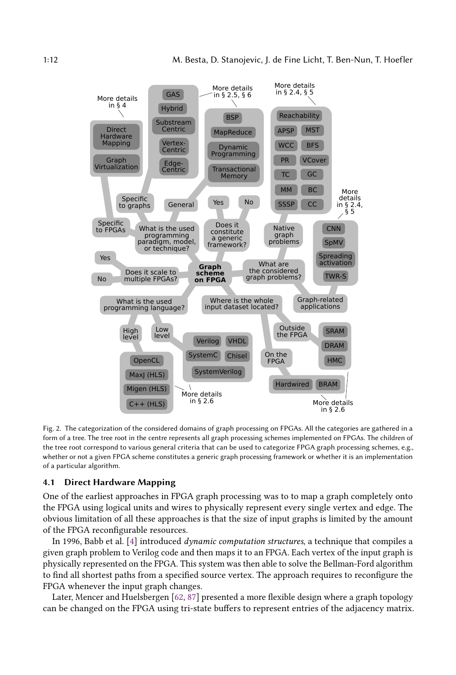<span id="page-11-0"></span>

Fig. 2. The categorization of the considered domains of graph processing on FPGAs. All the categories are gathered in a form of a tree. The tree root in the centre represents all graph processing schemes implemented on FPGAs. The children of the tree root correspond to various general criteria that can be used to categorize FPGA graph processing schemes, e.g., whether or not a given FPGA scheme constitutes a generic graph processing framework or whether it is an implementation of a particular algorithm.

# <span id="page-11-1"></span>4.1 Direct Hardware Mapping

One of the earliest approaches in FPGA graph processing was to to map a graph completely onto the FPGA using logical units and wires to physically represent every single vertex and edge. The obvious limitation of all these approaches is that the size of input graphs is limited by the amount of the FPGA reconfigurable resources.

In 1996, Babb et al. [\[4\]](#page-24-4) introduced dynamic computation structures, a technique that compiles a given graph problem to Verilog code and then maps it to an FPGA. Each vertex of the input graph is physically represented on the FPGA. This system was then able to solve the Bellman-Ford algorithm to find all shortest paths from a specified source vertex. The approach requires to reconfigure the FPGA whenever the input graph changes.

Later, Mencer and Huelsbergen [\[62,](#page-27-20) [87\]](#page-28-18) presented a more flexible design where a graph topology can be changed on the FPGA using tri-state buffers to represent entries of the adjacency matrix.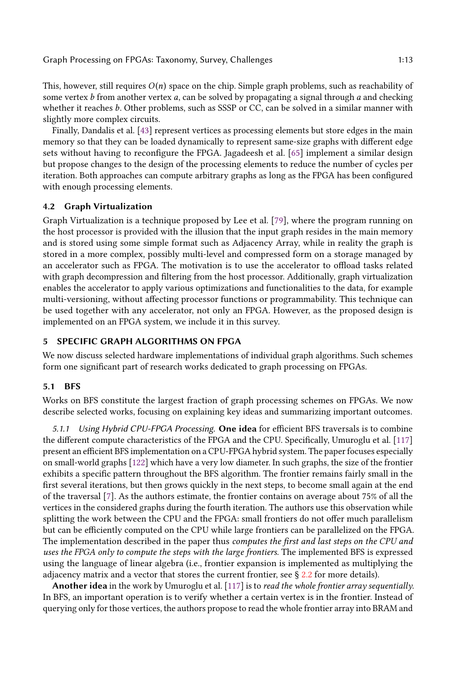This, however, still requires  $O(n)$  space on the chip. Simple graph problems, such as reachability of some vertex  $b$  from another vertex  $a$ , can be solved by propagating a signal through  $a$  and checking whether it reaches b. Other problems, such as SSSP or CC, can be solved in a similar manner with slightly more complex circuits.

Finally, Dandalis et al. [\[43\]](#page-26-14) represent vertices as processing elements but store edges in the main memory so that they can be loaded dynamically to represent same-size graphs with different edge sets without having to reconfigure the FPGA. Jagadeesh et al. [\[65\]](#page-27-19) implement a similar design but propose changes to the design of the processing elements to reduce the number of cycles per iteration. Both approaches can compute arbitrary graphs as long as the FPGA has been configured with enough processing elements.

# 4.2 Graph Virtualization

Graph Virtualization is a technique proposed by Lee et al. [\[79\]](#page-28-1), where the program running on the host processor is provided with the illusion that the input graph resides in the main memory and is stored using some simple format such as Adjacency Array, while in reality the graph is stored in a more complex, possibly multi-level and compressed form on a storage managed by an accelerator such as FPGA. The motivation is to use the accelerator to offload tasks related with graph decompression and filtering from the host processor. Additionally, graph virtualization enables the accelerator to apply various optimizations and functionalities to the data, for example multi-versioning, without affecting processor functions or programmability. This technique can be used together with any accelerator, not only an FPGA. However, as the proposed design is implemented on an FPGA system, we include it in this survey.

### <span id="page-12-0"></span>5 SPECIFIC GRAPH ALGORITHMS ON FPGA

We now discuss selected hardware implementations of individual graph algorithms. Such schemes form one significant part of research works dedicated to graph processing on FPGAs.

### 5.1 BFS

Works on BFS constitute the largest fraction of graph processing schemes on FPGAs. We now describe selected works, focusing on explaining key ideas and summarizing important outcomes.

5.1.1 Using Hybrid CPU-FPGA Processing. One idea for efficient BFS traversals is to combine the different compute characteristics of the FPGA and the CPU. Specifically, Umuroglu et al. [\[117\]](#page-29-16) present an efficient BFS implementation on a CPU-FPGA hybrid system. The paper focuses especially on small-world graphs [\[122\]](#page-30-16) which have a very low diameter. In such graphs, the size of the frontier exhibits a specific pattern throughout the BFS algorithm. The frontier remains fairly small in the first several iterations, but then grows quickly in the next steps, to become small again at the end of the traversal [\[7\]](#page-24-6). As the authors estimate, the frontier contains on average about 75% of all the vertices in the considered graphs during the fourth iteration. The authors use this observation while splitting the work between the CPU and the FPGA: small frontiers do not offer much parallelism but can be efficiently computed on the CPU while large frontiers can be parallelized on the FPGA. The implementation described in the paper thus computes the first and last steps on the CPU and uses the FPGA only to compute the steps with the large frontiers. The implemented BFS is expressed using the language of linear algebra (i.e., frontier expansion is implemented as multiplying the adjacency matrix and a vector that stores the current frontier, see  $\S 2.2$  $\S 2.2$  for more details).

Another idea in the work by Umuroglu et al. [\[117\]](#page-29-16) is to read the whole frontier array sequentially. In BFS, an important operation is to verify whether a certain vertex is in the frontier. Instead of querying only for those vertices, the authors propose to read the whole frontier array into BRAM and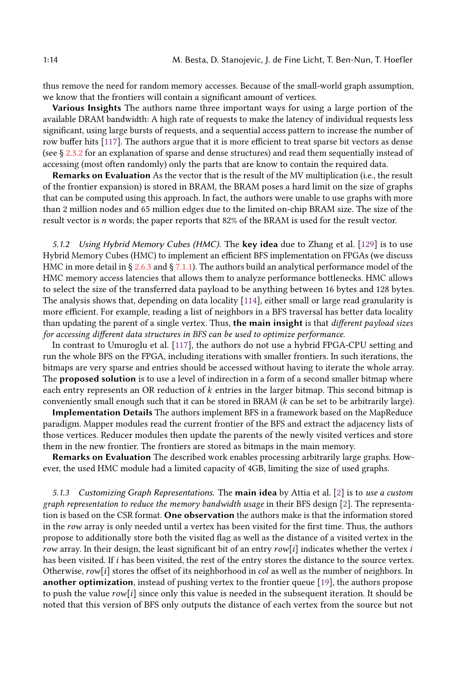thus remove the need for random memory accesses. Because of the small-world graph assumption, we know that the frontiers will contain a significant amount of vertices.

Various Insights The authors name three important ways for using a large portion of the available DRAM bandwidth: A high rate of requests to make the latency of individual requests less significant, using large bursts of requests, and a sequential access pattern to increase the number of row buffer hits [\[117\]](#page-29-16). The authors argue that it is more efficient to treat sparse bit vectors as dense (see § [2.3.2](#page-2-2) for an explanation of sparse and dense structures) and read them sequentially instead of accessing (most often randomly) only the parts that are know to contain the required data.

Remarks on Evaluation As the vector that is the result of the MV multiplication (i.e., the result of the frontier expansion) is stored in BRAM, the BRAM poses a hard limit on the size of graphs that can be computed using this approach. In fact, the authors were unable to use graphs with more than 2 million nodes and 65 million edges due to the limited on-chip BRAM size. The size of the result vector is n words; the paper reports that 82% of the BRAM is used for the result vector.

5.1.2 Using Hybrid Memory Cubes (HMC). The key idea due to Zhang et al.  $[129]$  is to use Hybrid Memory Cubes (HMC) to implement an efficient BFS implementation on FPGAs (we discuss HMC in more detail in § [2.6.3](#page-9-1) and § [7.1.1\)](#page-22-0). The authors build an analytical performance model of the HMC memory access latencies that allows them to analyze performance bottlenecks. HMC allows to select the size of the transferred data payload to be anything between 16 bytes and 128 bytes. The analysis shows that, depending on data locality [\[114\]](#page-29-17), either small or large read granularity is more efficient. For example, reading a list of neighbors in a BFS traversal has better data locality than updating the parent of a single vertex. Thus, the main insight is that different payload sizes for accessing different data structures in BFS can be used to optimize performance.

In contrast to Umuroglu et al. [\[117\]](#page-29-16), the authors do not use a hybrid FPGA-CPU setting and run the whole BFS on the FPGA, including iterations with smaller frontiers. In such iterations, the bitmaps are very sparse and entries should be accessed without having to iterate the whole array. The **proposed solution** is to use a level of indirection in a form of a second smaller bitmap where each entry represents an OR reduction of  $k$  entries in the larger bitmap. This second bitmap is conveniently small enough such that it can be stored in BRAM  $(k \text{ can be set to be arbitrarily large}).$ 

Implementation Details The authors implement BFS in a framework based on the MapReduce paradigm. Mapper modules read the current frontier of the BFS and extract the adjacency lists of those vertices. Reducer modules then update the parents of the newly visited vertices and store them in the new frontier. The frontiers are stored as bitmaps in the main memory.

Remarks on Evaluation The described work enables processing arbitrarily large graphs. However, the used HMC module had a limited capacity of 4GB, limiting the size of used graphs.

5.1.3 Customizing Graph Representations. The main idea by Attia et al.  $[2]$  is to use a custom graph representation to reduce the memory bandwidth usage in their BFS design [\[2\]](#page-24-5). The representation is based on the CSR format. One observation the authors make is that the information stored in the row array is only needed until a vertex has been visited for the first time. Thus, the authors propose to additionally store both the visited flag as well as the distance of a visited vertex in the row array. In their design, the least significant bit of an entry  $row[i]$  indicates whether the vertex  $i$ has been visited. If i has been visited, the rest of the entry stores the distance to the source vertex. Otherwise,  $row[i]$  stores the offset of its neighborhood in *col* as well as the number of neighbors. In another optimization, instead of pushing vertex to the frontier queue [\[19\]](#page-25-1), the authors propose to push the value  $row[i]$  since only this value is needed in the subsequent iteration. It should be noted that this version of BFS only outputs the distance of each vertex from the source but not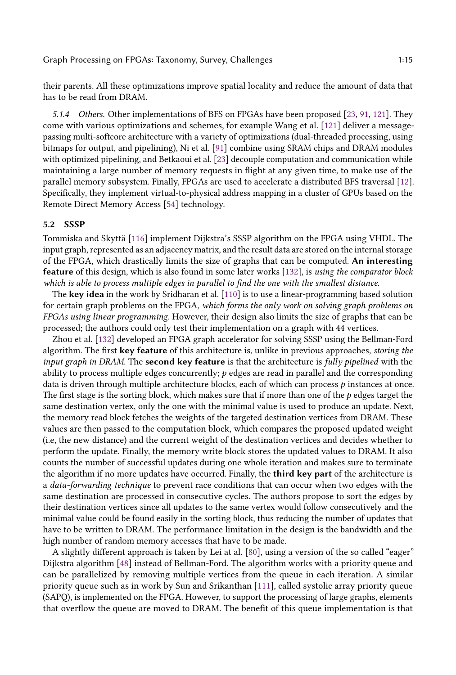their parents. All these optimizations improve spatial locality and reduce the amount of data that has to be read from DRAM.

5.1.4 Others. Other implementations of BFS on FPGAs have been proposed [\[23,](#page-25-10) [91,](#page-28-19) [121\]](#page-30-13). They come with various optimizations and schemes, for example Wang et al. [\[121\]](#page-30-13) deliver a messagepassing multi-softcore architecture with a variety of optimizations (dual-threaded processing, using bitmaps for output, and pipelining), Ni et al. [\[91\]](#page-28-19) combine using SRAM chips and DRAM modules with optimized pipelining, and Betkaoui et al. [\[23\]](#page-25-10) decouple computation and communication while maintaining a large number of memory requests in flight at any given time, to make use of the parallel memory subsystem. Finally, FPGAs are used to accelerate a distributed BFS traversal [\[12\]](#page-24-7). Specifically, they implement virtual-to-physical address mapping in a cluster of GPUs based on the Remote Direct Memory Access [\[54\]](#page-26-15) technology.

# 5.2 SSSP

Tommiska and Skyttä [\[116\]](#page-29-14) implement Dijkstra's SSSP algorithm on the FPGA using VHDL. The input graph, represented as an adjacency matrix, and the result data are stored on the internal storage of the FPGA, which drastically limits the size of graphs that can be computed. An interesting feature of this design, which is also found in some later works [\[132\]](#page-30-14), is using the comparator block which is able to process multiple edges in parallel to find the one with the smallest distance.

The key idea in the work by Sridharan et al. [\[110\]](#page-29-15) is to use a linear-programming based solution for certain graph problems on the FPGA, which forms the only work on solving graph problems on FPGAs using linear programming. However, their design also limits the size of graphs that can be processed; the authors could only test their implementation on a graph with 44 vertices.

Zhou et al. [\[132\]](#page-30-14) developed an FPGA graph accelerator for solving SSSP using the Bellman-Ford algorithm. The first key feature of this architecture is, unlike in previous approaches, storing the input graph in DRAM. The second key feature is that the architecture is fully pipelined with the ability to process multiple edges concurrently;  $p$  edges are read in parallel and the corresponding data is driven through multiple architecture blocks, each of which can process  $p$  instances at once. The first stage is the sorting block, which makes sure that if more than one of the  $p$  edges target the same destination vertex, only the one with the minimal value is used to produce an update. Next, the memory read block fetches the weights of the targeted destination vertices from DRAM. These values are then passed to the computation block, which compares the proposed updated weight (i.e, the new distance) and the current weight of the destination vertices and decides whether to perform the update. Finally, the memory write block stores the updated values to DRAM. It also counts the number of successful updates during one whole iteration and makes sure to terminate the algorithm if no more updates have occurred. Finally, the **third key part** of the architecture is a data-forwarding technique to prevent race conditions that can occur when two edges with the same destination are processed in consecutive cycles. The authors propose to sort the edges by their destination vertices since all updates to the same vertex would follow consecutively and the minimal value could be found easily in the sorting block, thus reducing the number of updates that have to be written to DRAM. The performance limitation in the design is the bandwidth and the high number of random memory accesses that have to be made.

A slightly different approach is taken by Lei at al. [\[80\]](#page-28-2), using a version of the so called "eager" Dijkstra algorithm [\[48\]](#page-26-16) instead of Bellman-Ford. The algorithm works with a priority queue and can be parallelized by removing multiple vertices from the queue in each iteration. A similar priority queue such as in work by Sun and Srikanthan [\[111\]](#page-29-18), called systolic array priority queue (SAPQ), is implemented on the FPGA. However, to support the processing of large graphs, elements that overflow the queue are moved to DRAM. The benefit of this queue implementation is that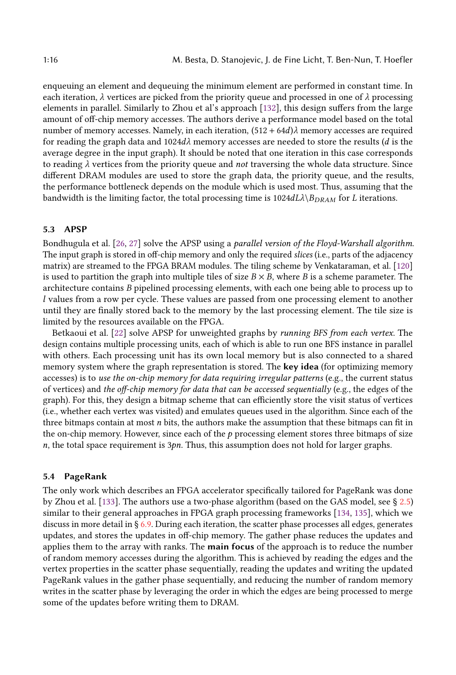enqueuing an element and dequeuing the minimum element are performed in constant time. In each iteration,  $\lambda$  vertices are picked from the priority queue and processed in one of  $\lambda$  processing elements in parallel. Similarly to Zhou et al's approach [\[132\]](#page-30-14), this design suffers from the large amount of off-chip memory accesses. The authors derive a performance model based on the total number of memory accesses. Namely, in each iteration,  $(512 + 64d)\lambda$  memory accesses are required for reading the graph data and  $1024d\lambda$  memory accesses are needed to store the results (d is the average degree in the input graph). It should be noted that one iteration in this case corresponds to reading  $\lambda$  vertices from the priority queue and not traversing the whole data structure. Since different DRAM modules are used to store the graph data, the priority queue, and the results, the performance bottleneck depends on the module which is used most. Thus, assuming that the bandwidth is the limiting factor, the total processing time is  $1024d\lambda\Phi_{DRAM}$  for L iterations.

### 5.3 APSP

Bondhugula et al. [\[26,](#page-25-11) [27\]](#page-25-7) solve the APSP using a parallel version of the Floyd-Warshall algorithm. The input graph is stored in off-chip memory and only the required slices (i.e., parts of the adjacency matrix) are streamed to the FPGA BRAM modules. The tiling scheme by Venkataraman, et al. [\[120\]](#page-29-19) is used to partition the graph into multiple tiles of size  $B \times B$ , where B is a scheme parameter. The architecture contains B pipelined processing elements, with each one being able to process up to l values from a row per cycle. These values are passed from one processing element to another until they are finally stored back to the memory by the last processing element. The tile size is limited by the resources available on the FPGA.

Betkaoui et al. [\[22\]](#page-25-9) solve APSP for unweighted graphs by running BFS from each vertex. The design contains multiple processing units, each of which is able to run one BFS instance in parallel with others. Each processing unit has its own local memory but is also connected to a shared memory system where the graph representation is stored. The key idea (for optimizing memory accesses) is to use the on-chip memory for data requiring irregular patterns (e.g., the current status of vertices) and the off-chip memory for data that can be accessed sequentially (e.g., the edges of the graph). For this, they design a bitmap scheme that can efficiently store the visit status of vertices (i.e., whether each vertex was visited) and emulates queues used in the algorithm. Since each of the three bitmaps contain at most  $n$  bits, the authors make the assumption that these bitmaps can fit in the on-chip memory. However, since each of the  $p$  processing element stores three bitmaps of size  $n$ , the total space requirement is  $3pn$ . Thus, this assumption does not hold for larger graphs.

#### 5.4 PageRank

The only work which describes an FPGA accelerator specifically tailored for PageRank was done by Zhou et al. [\[133\]](#page-30-15). The authors use a two-phase algorithm (based on the GAS model, see § [2.5\)](#page-6-0) similar to their general approaches in FPGA graph processing frameworks [\[134,](#page-30-5) [135\]](#page-30-12), which we discuss in more detail in § [6.9.](#page-20-0) During each iteration, the scatter phase processes all edges, generates updates, and stores the updates in off-chip memory. The gather phase reduces the updates and applies them to the array with ranks. The main focus of the approach is to reduce the number of random memory accesses during the algorithm. This is achieved by reading the edges and the vertex properties in the scatter phase sequentially, reading the updates and writing the updated PageRank values in the gather phase sequentially, and reducing the number of random memory writes in the scatter phase by leveraging the order in which the edges are being processed to merge some of the updates before writing them to DRAM.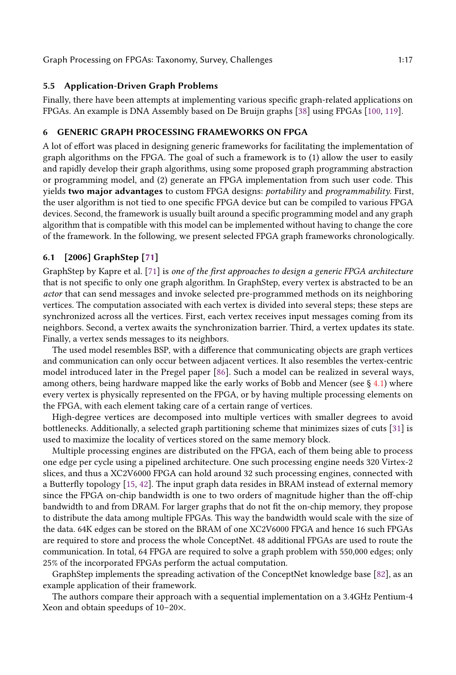# 5.5 Application-Driven Graph Problems

Finally, there have been attempts at implementing various specific graph-related applications on FPGAs. An example is DNA Assembly based on De Bruijn graphs [\[38\]](#page-26-17) using FPGAs [\[100,](#page-29-20) [119\]](#page-29-21).

# <span id="page-16-0"></span>6 GENERIC GRAPH PROCESSING FRAMEWORKS ON FPGA

A lot of effort was placed in designing generic frameworks for facilitating the implementation of graph algorithms on the FPGA. The goal of such a framework is to (1) allow the user to easily and rapidly develop their graph algorithms, using some proposed graph programming abstraction or programming model, and (2) generate an FPGA implementation from such user code. This yields two major advantages to custom FPGA designs: portability and programmability. First, the user algorithm is not tied to one specific FPGA device but can be compiled to various FPGA devices. Second, the framework is usually built around a specific programming model and any graph algorithm that is compatible with this model can be implemented without having to change the core of the framework. In the following, we present selected FPGA graph frameworks chronologically.

# 6.1 [2006] GraphStep [\[71\]](#page-27-15)

GraphStep by Kapre et al. [\[71\]](#page-27-15) is one of the first approaches to design a generic FPGA architecture that is not specific to only one graph algorithm. In GraphStep, every vertex is abstracted to be an actor that can send messages and invoke selected pre-programmed methods on its neighboring vertices. The computation associated with each vertex is divided into several steps; these steps are synchronized across all the vertices. First, each vertex receives input messages coming from its neighbors. Second, a vertex awaits the synchronization barrier. Third, a vertex updates its state. Finally, a vertex sends messages to its neighbors.

The used model resembles BSP, with a difference that communicating objects are graph vertices and communication can only occur between adjacent vertices. It also resembles the vertex-centric model introduced later in the Pregel paper [\[86\]](#page-28-12). Such a model can be realized in several ways, among others, being hardware mapped like the early works of Bobb and Mencer (see § [4.1\)](#page-11-1) where every vertex is physically represented on the FPGA, or by having multiple processing elements on the FPGA, with each element taking care of a certain range of vertices.

High-degree vertices are decomposed into multiple vertices with smaller degrees to avoid bottlenecks. Additionally, a selected graph partitioning scheme that minimizes sizes of cuts [\[31\]](#page-25-12) is used to maximize the locality of vertices stored on the same memory block.

Multiple processing engines are distributed on the FPGA, each of them being able to process one edge per cycle using a pipelined architecture. One such processing engine needs 320 Virtex-2 slices, and thus a XC2V6000 FPGA can hold around 32 such processing engines, connected with a Butterfly topology [\[15,](#page-25-13) [42\]](#page-26-18). The input graph data resides in BRAM instead of external memory since the FPGA on-chip bandwidth is one to two orders of magnitude higher than the off-chip bandwidth to and from DRAM. For larger graphs that do not fit the on-chip memory, they propose to distribute the data among multiple FPGAs. This way the bandwidth would scale with the size of the data. 64K edges can be stored on the BRAM of one XC2V6000 FPGA and hence 16 such FPGAs are required to store and process the whole ConceptNet. 48 additional FPGAs are used to route the communication. In total, 64 FPGA are required to solve a graph problem with 550,000 edges; only 25% of the incorporated FPGAs perform the actual computation.

GraphStep implements the spreading activation of the ConceptNet knowledge base [\[82\]](#page-28-11), as an example application of their framework.

The authors compare their approach with a sequential implementation on a 3.4GHz Pentium-4 Xeon and obtain speedups of 10–20×.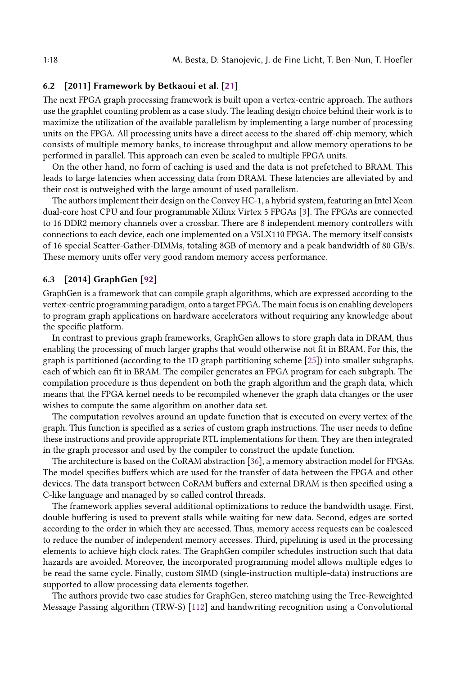# 6.2 [2011] Framework by Betkaoui et al. [\[21\]](#page-25-8)

The next FPGA graph processing framework is built upon a vertex-centric approach. The authors use the graphlet counting problem as a case study. The leading design choice behind their work is to maximize the utilization of the available parallelism by implementing a large number of processing units on the FPGA. All processing units have a direct access to the shared off-chip memory, which consists of multiple memory banks, to increase throughput and allow memory operations to be performed in parallel. This approach can even be scaled to multiple FPGA units.

On the other hand, no form of caching is used and the data is not prefetched to BRAM. This leads to large latencies when accessing data from DRAM. These latencies are alleviated by and their cost is outweighed with the large amount of used parallelism.

The authors implement their design on the Convey HC-1, a hybrid system, featuring an Intel Xeon dual-core host CPU and four programmable Xilinx Virtex 5 FPGAs [\[3\]](#page-24-8). The FPGAs are connected to 16 DDR2 memory channels over a crossbar. There are 8 independent memory controllers with connections to each device, each one implemented on a V5LX110 FPGA. The memory itself consists of 16 special Scatter-Gather-DIMMs, totaling 8GB of memory and a peak bandwidth of 80 GB/s. These memory units offer very good random memory access performance.

# 6.3 [2014] GraphGen [\[92\]](#page-28-17)

GraphGen is a framework that can compile graph algorithms, which are expressed according to the vertex-centric programming paradigm, onto a target FPGA. The main focus is on enabling developers to program graph applications on hardware accelerators without requiring any knowledge about the specific platform.

In contrast to previous graph frameworks, GraphGen allows to store graph data in DRAM, thus enabling the processing of much larger graphs that would otherwise not fit in BRAM. For this, the graph is partitioned (according to the 1D graph partitioning scheme [\[25\]](#page-25-14)) into smaller subgraphs, each of which can fit in BRAM. The compiler generates an FPGA program for each subgraph. The compilation procedure is thus dependent on both the graph algorithm and the graph data, which means that the FPGA kernel needs to be recompiled whenever the graph data changes or the user wishes to compute the same algorithm on another data set.

The computation revolves around an update function that is executed on every vertex of the graph. This function is specified as a series of custom graph instructions. The user needs to define these instructions and provide appropriate RTL implementations for them. They are then integrated in the graph processor and used by the compiler to construct the update function.

The architecture is based on the CoRAM abstraction [\[36\]](#page-26-19), a memory abstraction model for FPGAs. The model specifies buffers which are used for the transfer of data between the FPGA and other devices. The data transport between CoRAM buffers and external DRAM is then specified using a C-like language and managed by so called control threads.

The framework applies several additional optimizations to reduce the bandwidth usage. First, double buffering is used to prevent stalls while waiting for new data. Second, edges are sorted according to the order in which they are accessed. Thus, memory access requests can be coalesced to reduce the number of independent memory accesses. Third, pipelining is used in the processing elements to achieve high clock rates. The GraphGen compiler schedules instruction such that data hazards are avoided. Moreover, the incorporated programming model allows multiple edges to be read the same cycle. Finally, custom SIMD (single-instruction multiple-data) instructions are supported to allow processing data elements together.

The authors provide two case studies for GraphGen, stereo matching using the Tree-Reweighted Message Passing algorithm (TRW-S) [\[112\]](#page-29-13) and handwriting recognition using a Convolutional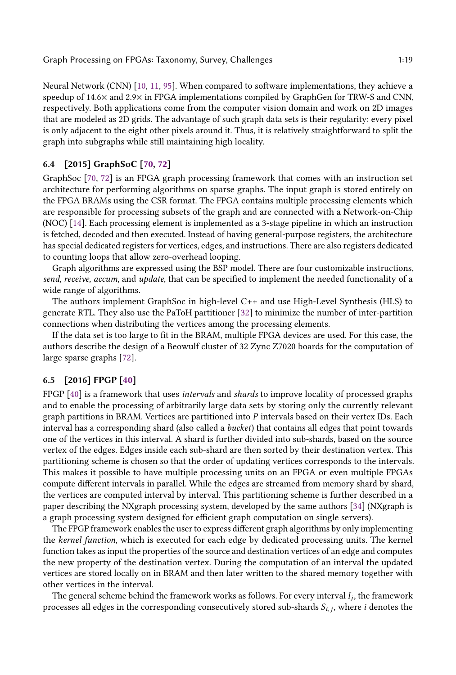Neural Network (CNN) [\[10,](#page-24-9) [11,](#page-24-10) [95\]](#page-28-20). When compared to software implementations, they achieve a speedup of 14.6× and 2.9× in FPGA implementations compiled by GraphGen for TRW-S and CNN, respectively. Both applications come from the computer vision domain and work on 2D images that are modeled as 2D grids. The advantage of such graph data sets is their regularity: every pixel is only adjacent to the eight other pixels around it. Thus, it is relatively straightforward to split the graph into subgraphs while still maintaining high locality.

# 6.4 [2015] GraphSoC [\[70,](#page-27-16) [72\]](#page-27-21)

GraphSoc [\[70,](#page-27-16) [72\]](#page-27-21) is an FPGA graph processing framework that comes with an instruction set architecture for performing algorithms on sparse graphs. The input graph is stored entirely on the FPGA BRAMs using the CSR format. The FPGA contains multiple processing elements which are responsible for processing subsets of the graph and are connected with a Network-on-Chip (NOC) [\[14\]](#page-25-15). Each processing element is implemented as a 3-stage pipeline in which an instruction is fetched, decoded and then executed. Instead of having general-purpose registers, the architecture has special dedicated registers for vertices, edges, and instructions. There are also registers dedicated to counting loops that allow zero-overhead looping.

Graph algorithms are expressed using the BSP model. There are four customizable instructions, send, receive, accum, and update, that can be specified to implement the needed functionality of a wide range of algorithms.

The authors implement GraphSoc in high-level C++ and use High-Level Synthesis (HLS) to generate RTL. They also use the PaToH partitioner [\[32\]](#page-26-20) to minimize the number of inter-partition connections when distributing the vertices among the processing elements.

If the data set is too large to fit in the BRAM, multiple FPGA devices are used. For this case, the authors describe the design of a Beowulf cluster of 32 Zync Z7020 boards for the computation of large sparse graphs [\[72\]](#page-27-21).

# 6.5 [2016] FPGP [\[40\]](#page-26-2)

FPGP [\[40\]](#page-26-2) is a framework that uses *intervals* and *shards* to improve locality of processed graphs and to enable the processing of arbitrarily large data sets by storing only the currently relevant graph partitions in BRAM. Vertices are partitioned into  $P$  intervals based on their vertex IDs. Each interval has a corresponding shard (also called a bucket) that contains all edges that point towards one of the vertices in this interval. A shard is further divided into sub-shards, based on the source vertex of the edges. Edges inside each sub-shard are then sorted by their destination vertex. This partitioning scheme is chosen so that the order of updating vertices corresponds to the intervals. This makes it possible to have multiple processing units on an FPGA or even multiple FPGAs compute different intervals in parallel. While the edges are streamed from memory shard by shard, the vertices are computed interval by interval. This partitioning scheme is further described in a paper describing the NXgraph processing system, developed by the same authors [\[34\]](#page-26-21) (NXgraph is a graph processing system designed for efficient graph computation on single servers).

The FPGP framework enables the user to express different graph algorithms by only implementing the kernel function, which is executed for each edge by dedicated processing units. The kernel function takes as input the properties of the source and destination vertices of an edge and computes the new property of the destination vertex. During the computation of an interval the updated vertices are stored locally on in BRAM and then later written to the shared memory together with other vertices in the interval.

The general scheme behind the framework works as follows. For every interval  $I_j$ , the framework<br>ocesses all edges in the corresponding consecutively stored sub-shards  $S_{i,j}$ , where i denotes the processes all edges in the corresponding consecutively stored sub-shards  $S_{i,j}$ , where  $i$  denotes the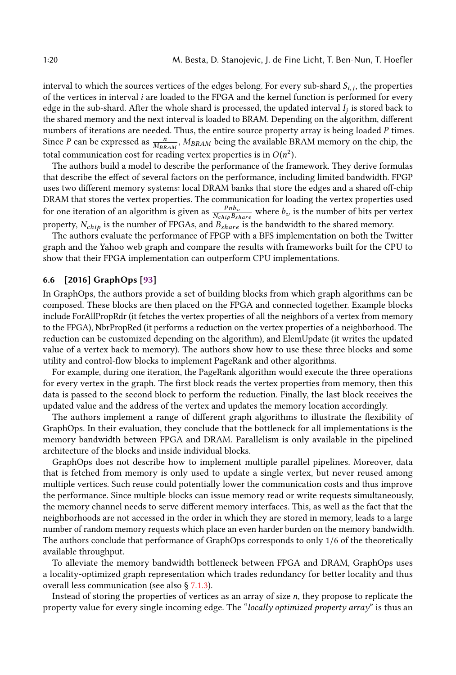interval to which the sources vertices of the edges belong. For every sub-shard  $S_{i,j}$ , the properties<br>of the vertices in interval  $i$  are loaded to the EPCA and the kernel function is performed for every of the vertices in interval i are loaded to the FPGA and the kernel function is performed for every edge in the sub-shard. After the whole shard is processed, the updated interval  $I_j$  is stored back to the abort the shared memory and the next interval is loaded to BRAM. Depending on the algorithm different the shared memory and the next interval is loaded to BRAM. Depending on the algorithm, different numbers of iterations are needed. Thus, the entire source property array is being loaded P times. Since P can be expressed as  $\frac{n}{MBRAM}$ ,  $M_{BRAM}$  being the available BRAM memory on the chip, the total communication cost for reading vertex properties is in  $O(n^2)$ .<br>The authors build a model to describe the performance of the fra

The authors build a model to describe the performance of the framework. They derive formulas that describe the effect of several factors on the performance, including limited bandwidth. FPGP uses two different memory systems: local DRAM banks that store the edges and a shared off-chip DRAM that stores the vertex properties. The communication for loading the vertex properties used for one iteration of an algorithm is given as  $\frac{P_{ID_{\nu}}}{N_{chip}B_{share}}$  where  $b_{\nu}$  is the number of bits per vertex property,  $N_{chip}$  is the number of FPGAs, and  $B_{share}$  is the bandwidth to the shared memory.

The authors evaluate the performance of FPGP with a BFS implementation on both the Twitter graph and the Yahoo web graph and compare the results with frameworks built for the CPU to show that their FPGA implementation can outperform CPU implementations.

# 6.6 [2016] GraphOps [\[93\]](#page-28-4)

In GraphOps, the authors provide a set of building blocks from which graph algorithms can be composed. These blocks are then placed on the FPGA and connected together. Example blocks include ForAllPropRdr (it fetches the vertex properties of all the neighbors of a vertex from memory to the FPGA), NbrPropRed (it performs a reduction on the vertex properties of a neighborhood. The reduction can be customized depending on the algorithm), and ElemUpdate (it writes the updated value of a vertex back to memory). The authors show how to use these three blocks and some utility and control-flow blocks to implement PageRank and other algorithms.

For example, during one iteration, the PageRank algorithm would execute the three operations for every vertex in the graph. The first block reads the vertex properties from memory, then this data is passed to the second block to perform the reduction. Finally, the last block receives the updated value and the address of the vertex and updates the memory location accordingly.

The authors implement a range of different graph algorithms to illustrate the flexibility of GraphOps. In their evaluation, they conclude that the bottleneck for all implementations is the memory bandwidth between FPGA and DRAM. Parallelism is only available in the pipelined architecture of the blocks and inside individual blocks.

GraphOps does not describe how to implement multiple parallel pipelines. Moreover, data that is fetched from memory is only used to update a single vertex, but never reused among multiple vertices. Such reuse could potentially lower the communication costs and thus improve the performance. Since multiple blocks can issue memory read or write requests simultaneously, the memory channel needs to serve different memory interfaces. This, as well as the fact that the neighborhoods are not accessed in the order in which they are stored in memory, leads to a large number of random memory requests which place an even harder burden on the memory bandwidth. The authors conclude that performance of GraphOps corresponds to only <sup>1</sup>/<sup>6</sup> of the theoretically available throughput.

To alleviate the memory bandwidth bottleneck between FPGA and DRAM, GraphOps uses a locality-optimized graph representation which trades redundancy for better locality and thus overall less communication (see also § [7.1.3\)](#page-22-1).

Instead of storing the properties of vertices as an array of size n, they propose to replicate the property value for every single incoming edge. The "locally optimized property array" is thus an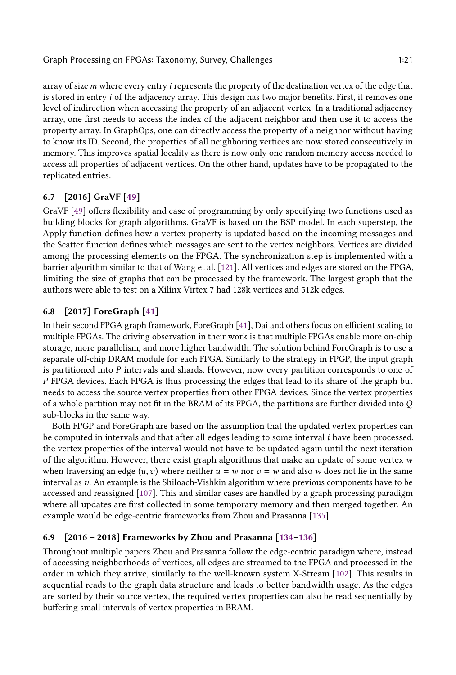array of size  $m$  where every entry  $i$  represents the property of the destination vertex of the edge that is stored in entry *i* of the adjacency array. This design has two major benefits. First, it removes one level of indirection when accessing the property of an adjacent vertex. In a traditional adjacency array, one first needs to access the index of the adjacent neighbor and then use it to access the property array. In GraphOps, one can directly access the property of a neighbor without having to know its ID. Second, the properties of all neighboring vertices are now stored consecutively in memory. This improves spatial locality as there is now only one random memory access needed to access all properties of adjacent vertices. On the other hand, updates have to be propagated to the replicated entries.

# 6.7 [2016] GraVF [\[49\]](#page-26-4)

GraVF [\[49\]](#page-26-4) offers flexibility and ease of programming by only specifying two functions used as building blocks for graph algorithms. GraVF is based on the BSP model. In each superstep, the Apply function defines how a vertex property is updated based on the incoming messages and the Scatter function defines which messages are sent to the vertex neighbors. Vertices are divided among the processing elements on the FPGA. The synchronization step is implemented with a barrier algorithm similar to that of Wang et al. [\[121\]](#page-30-13). All vertices and edges are stored on the FPGA, limiting the size of graphs that can be processed by the framework. The largest graph that the authors were able to test on a Xilinx Virtex 7 had 128k vertices and 512k edges.

# 6.8 [2017] ForeGraph [\[41\]](#page-26-3)

In their second FPGA graph framework, ForeGraph [\[41\]](#page-26-3), Dai and others focus on efficient scaling to multiple FPGAs. The driving observation in their work is that multiple FPGAs enable more on-chip storage, more parallelism, and more higher bandwidth. The solution behind ForeGraph is to use a separate off-chip DRAM module for each FPGA. Similarly to the strategy in FPGP, the input graph is partitioned into  $P$  intervals and shards. However, now every partition corresponds to one of P FPGA devices. Each FPGA is thus processing the edges that lead to its share of the graph but needs to access the source vertex properties from other FPGA devices. Since the vertex properties of a whole partition may not fit in the BRAM of its FPGA, the partitions are further divided into Q sub-blocks in the same way.

Both FPGP and ForeGraph are based on the assumption that the updated vertex properties can be computed in intervals and that after all edges leading to some interval i have been processed, the vertex properties of the interval would not have to be updated again until the next iteration of the algorithm. However, there exist graph algorithms that make an update of some vertex  $w$ when traversing an edge  $(u, v)$  where neither  $u = w$  nor  $v = w$  and also w does not lie in the same interval as v. An example is the Shiloach-Vishkin algorithm where previous components have to be accessed and reassigned [\[107\]](#page-29-4). This and similar cases are handled by a graph processing paradigm where all updates are first collected in some temporary memory and then merged together. An example would be edge-centric frameworks from Zhou and Prasanna [\[135\]](#page-30-12).

# <span id="page-20-0"></span>6.9 [2016 – 2018] Frameworks by Zhou and Prasanna [\[134](#page-30-5)[–136\]](#page-30-6)

Throughout multiple papers Zhou and Prasanna follow the edge-centric paradigm where, instead of accessing neighborhoods of vertices, all edges are streamed to the FPGA and processed in the order in which they arrive, similarly to the well-known system X-Stream [\[102\]](#page-29-10). This results in sequential reads to the graph data structure and leads to better bandwidth usage. As the edges are sorted by their source vertex, the required vertex properties can also be read sequentially by buffering small intervals of vertex properties in BRAM.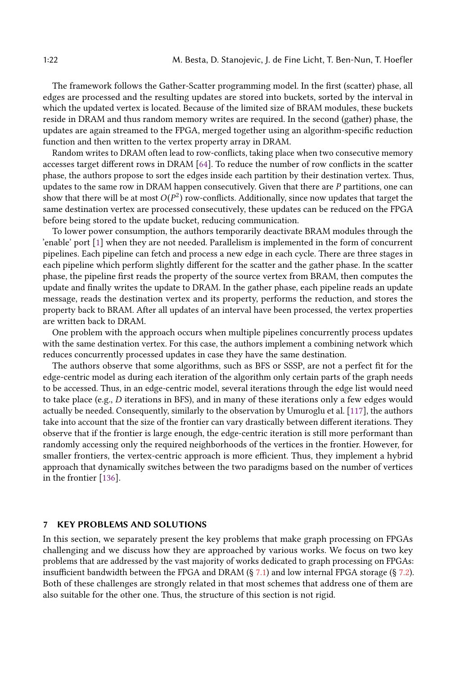The framework follows the Gather-Scatter programming model. In the first (scatter) phase, all edges are processed and the resulting updates are stored into buckets, sorted by the interval in which the updated vertex is located. Because of the limited size of BRAM modules, these buckets reside in DRAM and thus random memory writes are required. In the second (gather) phase, the updates are again streamed to the FPGA, merged together using an algorithm-specific reduction function and then written to the vertex property array in DRAM.

Random writes to DRAM often lead to row-conflicts, taking place when two consecutive memory accesses target different rows in DRAM [\[64\]](#page-27-22). To reduce the number of row conflicts in the scatter phase, the authors propose to sort the edges inside each partition by their destination vertex. Thus, updates to the same row in DRAM happen consecutively. Given that there are  $P$  partitions, one can show that there will be at most  $O(P^2)$  row-conflicts. Additionally, since now updates that target the same destination vertex are processed consecutively, these updates can be reduced on the EPCA same destination vertex are processed consecutively, these updates can be reduced on the FPGA before being stored to the update bucket, reducing communication.

To lower power consumption, the authors temporarily deactivate BRAM modules through the 'enable' port [\[1\]](#page-24-11) when they are not needed. Parallelism is implemented in the form of concurrent pipelines. Each pipeline can fetch and process a new edge in each cycle. There are three stages in each pipeline which perform slightly different for the scatter and the gather phase. In the scatter phase, the pipeline first reads the property of the source vertex from BRAM, then computes the update and finally writes the update to DRAM. In the gather phase, each pipeline reads an update message, reads the destination vertex and its property, performs the reduction, and stores the property back to BRAM. After all updates of an interval have been processed, the vertex properties are written back to DRAM.

One problem with the approach occurs when multiple pipelines concurrently process updates with the same destination vertex. For this case, the authors implement a combining network which reduces concurrently processed updates in case they have the same destination.

The authors observe that some algorithms, such as BFS or SSSP, are not a perfect fit for the edge-centric model as during each iteration of the algorithm only certain parts of the graph needs to be accessed. Thus, in an edge-centric model, several iterations through the edge list would need to take place (e.g., D iterations in BFS), and in many of these iterations only a few edges would actually be needed. Consequently, similarly to the observation by Umuroglu et al. [\[117\]](#page-29-16), the authors take into account that the size of the frontier can vary drastically between different iterations. They observe that if the frontier is large enough, the edge-centric iteration is still more performant than randomly accessing only the required neighborhoods of the vertices in the frontier. However, for smaller frontiers, the vertex-centric approach is more efficient. Thus, they implement a hybrid approach that dynamically switches between the two paradigms based on the number of vertices in the frontier [\[136\]](#page-30-6).

# 7 KEY PROBLEMS AND SOLUTIONS

In this section, we separately present the key problems that make graph processing on FPGAs challenging and we discuss how they are approached by various works. We focus on two key problems that are addressed by the vast majority of works dedicated to graph processing on FPGAs: insufficient bandwidth between the FPGA and DRAM (§ [7.1\)](#page-22-2) and low internal FPGA storage (§ [7.2\)](#page-23-0). Both of these challenges are strongly related in that most schemes that address one of them are also suitable for the other one. Thus, the structure of this section is not rigid.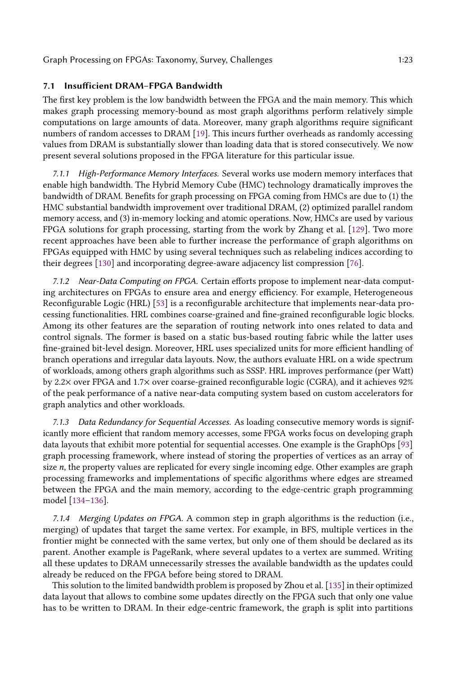# <span id="page-22-2"></span>7.1 Insufficient DRAM–FPGA Bandwidth

The first key problem is the low bandwidth between the FPGA and the main memory. This which makes graph processing memory-bound as most graph algorithms perform relatively simple computations on large amounts of data. Moreover, many graph algorithms require significant numbers of random accesses to DRAM [\[19\]](#page-25-1). This incurs further overheads as randomly accessing values from DRAM is substantially slower than loading data that is stored consecutively. We now present several solutions proposed in the FPGA literature for this particular issue.

<span id="page-22-0"></span>7.1.1 High-Performance Memory Interfaces. Several works use modern memory interfaces that enable high bandwidth. The Hybrid Memory Cube (HMC) technology dramatically improves the bandwidth of DRAM. Benefits for graph processing on FPGA coming from HMCs are due to (1) the HMC substantial bandwidth improvement over traditional DRAM, (2) optimized parallel random memory access, and (3) in-memory locking and atomic operations. Now, HMCs are used by various FPGA solutions for graph processing, starting from the work by Zhang et al. [\[129\]](#page-30-3). Two more recent approaches have been able to further increase the performance of graph algorithms on FPGAs equipped with HMC by using several techniques such as relabeling indices according to their degrees [\[130\]](#page-30-4) and incorporating degree-aware adjacency list compression [\[76\]](#page-27-1).

7.1.2 Near-Data Computing on FPGA. Certain efforts propose to implement near-data computing architectures on FPGAs to ensure area and energy efficiency. For example, Heterogeneous Reconfigurable Logic (HRL) [\[53\]](#page-26-22) is a reconfigurable architecture that implements near-data processing functionalities. HRL combines coarse-grained and fine-grained reconfigurable logic blocks. Among its other features are the separation of routing network into ones related to data and control signals. The former is based on a static bus-based routing fabric while the latter uses fine-grained bit-level design. Moreover, HRL uses specialized units for more efficient handling of branch operations and irregular data layouts. Now, the authors evaluate HRL on a wide spectrum of workloads, among others graph algorithms such as SSSP. HRL improves performance (per Watt) by 2.2× over FPGA and 1.7× over coarse-grained reconfigurable logic (CGRA), and it achieves 92% of the peak performance of a native near-data computing system based on custom accelerators for graph analytics and other workloads.

<span id="page-22-1"></span>7.1.3 Data Redundancy for Sequential Accesses. As loading consecutive memory words is significantly more efficient that random memory accesses, some FPGA works focus on developing graph data layouts that exhibit more potential for sequential accesses. One example is the GraphOps [\[93\]](#page-28-4) graph processing framework, where instead of storing the properties of vertices as an array of size n, the property values are replicated for every single incoming edge. Other examples are graph processing frameworks and implementations of specific algorithms where edges are streamed between the FPGA and the main memory, according to the edge-centric graph programming model [\[134](#page-30-5)[–136\]](#page-30-6).

7.1.4 Merging Updates on FPGA. A common step in graph algorithms is the reduction (i.e., merging) of updates that target the same vertex. For example, in BFS, multiple vertices in the frontier might be connected with the same vertex, but only one of them should be declared as its parent. Another example is PageRank, where several updates to a vertex are summed. Writing all these updates to DRAM unnecessarily stresses the available bandwidth as the updates could already be reduced on the FPGA before being stored to DRAM.

This solution to the limited bandwidth problem is proposed by Zhou et al. [\[135\]](#page-30-12) in their optimized data layout that allows to combine some updates directly on the FPGA such that only one value has to be written to DRAM. In their edge-centric framework, the graph is split into partitions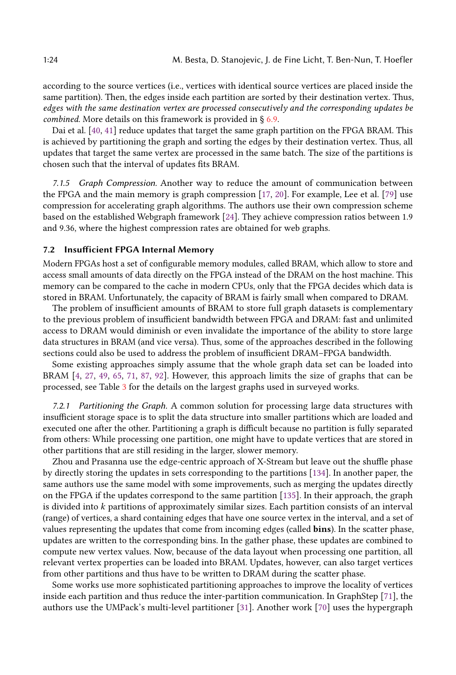according to the source vertices (i.e., vertices with identical source vertices are placed inside the same partition). Then, the edges inside each partition are sorted by their destination vertex. Thus, edges with the same destination vertex are processed consecutively and the corresponding updates be combined. More details on this framework is provided in § [6.9.](#page-20-0)

Dai et al. [\[40,](#page-26-2) [41\]](#page-26-3) reduce updates that target the same graph partition on the FPGA BRAM. This is achieved by partitioning the graph and sorting the edges by their destination vertex. Thus, all updates that target the same vertex are processed in the same batch. The size of the partitions is chosen such that the interval of updates fits BRAM.

7.1.5 Graph Compression. Another way to reduce the amount of communication between the FPGA and the main memory is graph compression [\[17,](#page-25-16) [20\]](#page-25-17). For example, Lee et al. [\[79\]](#page-28-1) use compression for accelerating graph algorithms. The authors use their own compression scheme based on the established Webgraph framework [\[24\]](#page-25-18). They achieve compression ratios between 1.9 and 9.36, where the highest compression rates are obtained for web graphs.

### <span id="page-23-0"></span>7.2 Insufficient FPGA Internal Memory

Modern FPGAs host a set of configurable memory modules, called BRAM, which allow to store and access small amounts of data directly on the FPGA instead of the DRAM on the host machine. This memory can be compared to the cache in modern CPUs, only that the FPGA decides which data is stored in BRAM. Unfortunately, the capacity of BRAM is fairly small when compared to DRAM.

The problem of insufficient amounts of BRAM to store full graph datasets is complementary to the previous problem of insufficient bandwidth between FPGA and DRAM: fast and unlimited access to DRAM would diminish or even invalidate the importance of the ability to store large data structures in BRAM (and vice versa). Thus, some of the approaches described in the following sections could also be used to address the problem of insufficient DRAM–FPGA bandwidth.

Some existing approaches simply assume that the whole graph data set can be loaded into BRAM [\[4,](#page-24-4) [27,](#page-25-7) [49,](#page-26-4) [65,](#page-27-19) [71,](#page-27-15) [87,](#page-28-18) [92\]](#page-28-17). However, this approach limits the size of graphs that can be processed, see Table [3](#page-10-0) for the details on the largest graphs used in surveyed works.

7.2.1 Partitioning the Graph. A common solution for processing large data structures with insufficient storage space is to split the data structure into smaller partitions which are loaded and executed one after the other. Partitioning a graph is difficult because no partition is fully separated from others: While processing one partition, one might have to update vertices that are stored in other partitions that are still residing in the larger, slower memory.

Zhou and Prasanna use the edge-centric approach of X-Stream but leave out the shuffle phase by directly storing the updates in sets corresponding to the partitions [\[134\]](#page-30-5). In another paper, the same authors use the same model with some improvements, such as merging the updates directly on the FPGA if the updates correspond to the same partition [\[135\]](#page-30-12). In their approach, the graph is divided into  $k$  partitions of approximately similar sizes. Each partition consists of an interval (range) of vertices, a shard containing edges that have one source vertex in the interval, and a set of values representing the updates that come from incoming edges (called bins). In the scatter phase, updates are written to the corresponding bins. In the gather phase, these updates are combined to compute new vertex values. Now, because of the data layout when processing one partition, all relevant vertex properties can be loaded into BRAM. Updates, however, can also target vertices from other partitions and thus have to be written to DRAM during the scatter phase.

Some works use more sophisticated partitioning approaches to improve the locality of vertices inside each partition and thus reduce the inter-partition communication. In GraphStep [\[71\]](#page-27-15), the authors use the UMPack's multi-level partitioner [\[31\]](#page-25-12). Another work [\[70\]](#page-27-16) uses the hypergraph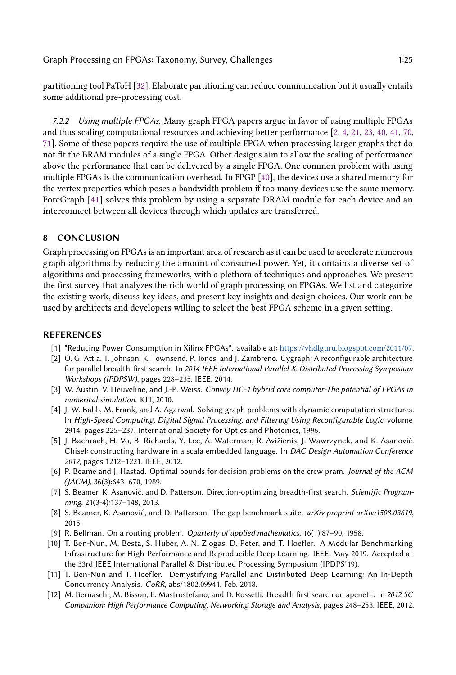partitioning tool PaToH [\[32\]](#page-26-20). Elaborate partitioning can reduce communication but it usually entails some additional pre-processing cost.

7.2.2 Using multiple FPGAs. Many graph FPGA papers argue in favor of using multiple FPGAs and thus scaling computational resources and achieving better performance [\[2,](#page-24-5) [4,](#page-24-4) [21,](#page-25-8) [23,](#page-25-10) [40,](#page-26-2) [41,](#page-26-3) [70,](#page-27-16) [71\]](#page-27-15). Some of these papers require the use of multiple FPGA when processing larger graphs that do not fit the BRAM modules of a single FPGA. Other designs aim to allow the scaling of performance above the performance that can be delivered by a single FPGA. One common problem with using multiple FPGAs is the communication overhead. In FPGP [\[40\]](#page-26-2), the devices use a shared memory for the vertex properties which poses a bandwidth problem if too many devices use the same memory. ForeGraph [\[41\]](#page-26-3) solves this problem by using a separate DRAM module for each device and an interconnect between all devices through which updates are transferred.

# 8 CONCLUSION

Graph processing on FPGAs is an important area of research as it can be used to accelerate numerous graph algorithms by reducing the amount of consumed power. Yet, it contains a diverse set of algorithms and processing frameworks, with a plethora of techniques and approaches. We present the first survey that analyzes the rich world of graph processing on FPGAs. We list and categorize the existing work, discuss key ideas, and present key insights and design choices. Our work can be used by architects and developers willing to select the best FPGA scheme in a given setting.

#### REFERENCES

- <span id="page-24-11"></span>[1] "Reducing Power Consumption in Xilinx FPGAs". available at: <https://vhdlguru.blogspot.com/2011/07>.
- <span id="page-24-5"></span>[2] O. G. Attia, T. Johnson, K. Townsend, P. Jones, and J. Zambreno. Cygraph: A reconfigurable architecture for parallel breadth-first search. In 2014 IEEE International Parallel & Distributed Processing Symposium Workshops (IPDPSW), pages 228–235. IEEE, 2014.
- <span id="page-24-8"></span>[3] W. Austin, V. Heuveline, and J.-P. Weiss. Convey HC-1 hybrid core computer-The potential of FPGAs in numerical simulation. KIT, 2010.
- <span id="page-24-4"></span>[4] J. W. Babb, M. Frank, and A. Agarwal. Solving graph problems with dynamic computation structures. In High-Speed Computing, Digital Signal Processing, and Filtering Using Reconfigurable Logic, volume 2914, pages 225–237. International Society for Optics and Photonics, 1996.
- <span id="page-24-3"></span>[5] J. Bachrach, H. Vo, B. Richards, Y. Lee, A. Waterman, R. Avižienis, J. Wawrzynek, and K. Asanović. Chisel: constructing hardware in a scala embedded language. In DAC Design Automation Conference 2012, pages 1212–1221. IEEE, 2012.
- <span id="page-24-0"></span>[6] P. Beame and J. Hastad. Optimal bounds for decision problems on the crcw pram. Journal of the ACM (JACM), 36(3):643–670, 1989.
- <span id="page-24-6"></span>[7] S. Beamer, K. Asanović, and D. Patterson. Direction-optimizing breadth-first search. Scientific Programming, 21(3-4):137–148, 2013.
- <span id="page-24-2"></span>[8] S. Beamer, K. Asanović, and D. Patterson. The gap benchmark suite. arXiv preprint arXiv:1508.03619, 2015.
- <span id="page-24-1"></span>[9] R. Bellman. On a routing problem. Quarterly of applied mathematics, 16(1):87–90, 1958.
- <span id="page-24-9"></span>[10] T. Ben-Nun, M. Besta, S. Huber, A. N. Ziogas, D. Peter, and T. Hoefler. A Modular Benchmarking Infrastructure for High-Performance and Reproducible Deep Learning. IEEE, May 2019. Accepted at the 33rd IEEE International Parallel & Distributed Processing Symposium (IPDPS'19).
- <span id="page-24-10"></span>[11] T. Ben-Nun and T. Hoefler. Demystifying Parallel and Distributed Deep Learning: An In-Depth Concurrency Analysis. CoRR, abs/1802.09941, Feb. 2018.
- <span id="page-24-7"></span>[12] M. Bernaschi, M. Bisson, E. Mastrostefano, and D. Rossetti. Breadth first search on apenet+. In 2012 SC Companion: High Performance Computing, Networking Storage and Analysis, pages 248–253. IEEE, 2012.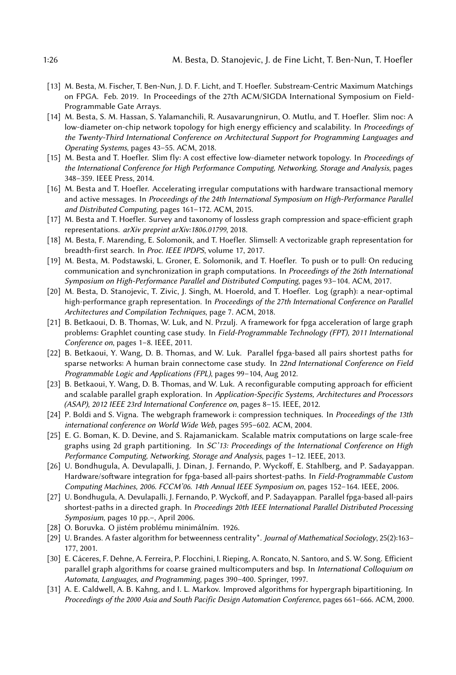- <span id="page-25-5"></span>[13] M. Besta, M. Fischer, T. Ben-Nun, J. D. F. Licht, and T. Hoefler. Substream-Centric Maximum Matchings on FPGA. Feb. 2019. In Proceedings of the 27th ACM/SIGDA International Symposium on Field-Programmable Gate Arrays.
- <span id="page-25-15"></span>[14] M. Besta, S. M. Hassan, S. Yalamanchili, R. Ausavarungnirun, O. Mutlu, and T. Hoefler. Slim noc: A low-diameter on-chip network topology for high energy efficiency and scalability. In Proceedings of the Twenty-Third International Conference on Architectural Support for Programming Languages and Operating Systems, pages 43–55. ACM, 2018.
- <span id="page-25-13"></span>[15] M. Besta and T. Hoefler. Slim fly: A cost effective low-diameter network topology. In Proceedings of the International Conference for High Performance Computing, Networking, Storage and Analysis, pages 348–359. IEEE Press, 2014.
- <span id="page-25-6"></span>[16] M. Besta and T. Hoefler. Accelerating irregular computations with hardware transactional memory and active messages. In Proceedings of the 24th International Symposium on High-Performance Parallel and Distributed Computing, pages 161–172. ACM, 2015.
- <span id="page-25-16"></span>[17] M. Besta and T. Hoefler. Survey and taxonomy of lossless graph compression and space-efficient graph representations. arXiv preprint arXiv:1806.01799, 2018.
- <span id="page-25-0"></span>[18] M. Besta, F. Marending, E. Solomonik, and T. Hoefler. Slimsell: A vectorizable graph representation for breadth-first search. In Proc. IEEE IPDPS, volume 17, 2017.
- <span id="page-25-1"></span>[19] M. Besta, M. Podstawski, L. Groner, E. Solomonik, and T. Hoefler. To push or to pull: On reducing communication and synchronization in graph computations. In Proceedings of the 26th International Symposium on High-Performance Parallel and Distributed Computing, pages 93–104. ACM, 2017.
- <span id="page-25-17"></span>[20] M. Besta, D. Stanojevic, T. Zivic, J. Singh, M. Hoerold, and T. Hoefler. Log (graph): a near-optimal high-performance graph representation. In Proceedings of the 27th International Conference on Parallel Architectures and Compilation Techniques, page 7. ACM, 2018.
- <span id="page-25-8"></span>[21] B. Betkaoui, D. B. Thomas, W. Luk, and N. Przulj. A framework for fpga acceleration of large graph problems: Graphlet counting case study. In Field-Programmable Technology (FPT), 2011 International Conference on, pages 1–8. IEEE, 2011.
- <span id="page-25-9"></span>[22] B. Betkaoui, Y. Wang, D. B. Thomas, and W. Luk. Parallel fpga-based all pairs shortest paths for sparse networks: A human brain connectome case study. In 22nd International Conference on Field Programmable Logic and Applications (FPL), pages 99–104, Aug 2012.
- <span id="page-25-10"></span>[23] B. Betkaoui, Y. Wang, D. B. Thomas, and W. Luk. A reconfigurable computing approach for efficient and scalable parallel graph exploration. In Application-Specific Systems, Architectures and Processors (ASAP), 2012 IEEE 23rd International Conference on, pages 8–15. IEEE, 2012.
- <span id="page-25-18"></span>[24] P. Boldi and S. Vigna. The webgraph framework i: compression techniques. In Proceedings of the 13th international conference on World Wide Web, pages 595–602. ACM, 2004.
- <span id="page-25-14"></span>[25] E. G. Boman, K. D. Devine, and S. Rajamanickam. Scalable matrix computations on large scale-free graphs using 2d graph partitioning. In SC'13: Proceedings of the International Conference on High Performance Computing, Networking, Storage and Analysis, pages 1–12. IEEE, 2013.
- <span id="page-25-11"></span>[26] U. Bondhugula, A. Devulapalli, J. Dinan, J. Fernando, P. Wyckoff, E. Stahlberg, and P. Sadayappan. Hardware/software integration for fpga-based all-pairs shortest-paths. In Field-Programmable Custom Computing Machines, 2006. FCCM'06. 14th Annual IEEE Symposium on, pages 152–164. IEEE, 2006.
- <span id="page-25-7"></span>[27] U. Bondhugula, A. Devulapalli, J. Fernando, P. Wyckoff, and P. Sadayappan. Parallel fpga-based all-pairs shortest-paths in a directed graph. In Proceedings 20th IEEE International Parallel Distributed Processing Symposium, pages 10 pp.–, April 2006.
- <span id="page-25-2"></span>[28] O. Boruvka. O jistém problému minimálním. 1926.
- <span id="page-25-3"></span>[29] U. Brandes. A faster algorithm for betweenness centrality\*. Journal of Mathematical Sociology, 25(2):163– 177, 2001.
- <span id="page-25-4"></span>[30] E. Cáceres, F. Dehne, A. Ferreira, P. Flocchini, I. Rieping, A. Roncato, N. Santoro, and S. W. Song. Efficient parallel graph algorithms for coarse grained multicomputers and bsp. In International Colloquium on Automata, Languages, and Programming, pages 390–400. Springer, 1997.
- <span id="page-25-12"></span>[31] A. E. Caldwell, A. B. Kahng, and I. L. Markov. Improved algorithms for hypergraph bipartitioning. In Proceedings of the 2000 Asia and South Pacific Design Automation Conference, pages 661–666. ACM, 2000.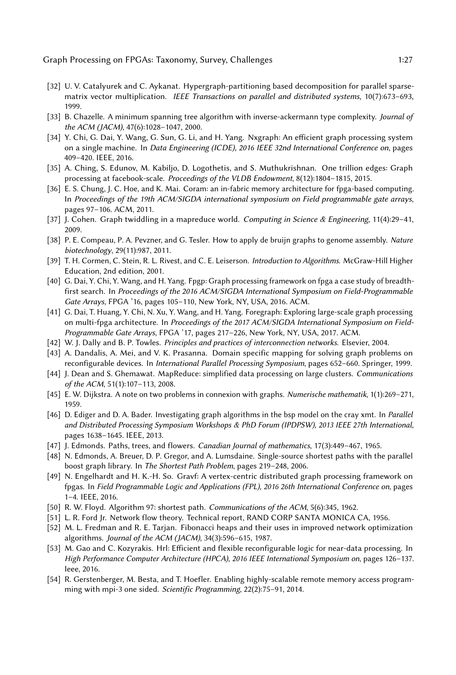- <span id="page-26-20"></span>[32] U. V. Catalyurek and C. Aykanat. Hypergraph-partitioning based decomposition for parallel sparsematrix vector multiplication. IEEE Transactions on parallel and distributed systems, 10(7):673–693, 1999.
- <span id="page-26-7"></span>[33] B. Chazelle. A minimum spanning tree algorithm with inverse-ackermann type complexity. Journal of the ACM (JACM), 47(6):1028–1047, 2000.
- <span id="page-26-21"></span>[34] Y. Chi, G. Dai, Y. Wang, G. Sun, G. Li, and H. Yang. Nxgraph: An efficient graph processing system on a single machine. In Data Engineering (ICDE), 2016 IEEE 32nd International Conference on, pages 409–420. IEEE, 2016.
- <span id="page-26-0"></span>[35] A. Ching, S. Edunov, M. Kabiljo, D. Logothetis, and S. Muthukrishnan. One trillion edges: Graph processing at facebook-scale. Proceedings of the VLDB Endowment, 8(12):1804-1815, 2015.
- <span id="page-26-19"></span>[36] E. S. Chung, J. C. Hoe, and K. Mai. Coram: an in-fabric memory architecture for fpga-based computing. In Proceedings of the 19th ACM/SIGDA international symposium on Field programmable gate arrays, pages 97–106. ACM, 2011.
- <span id="page-26-13"></span>[37] J. Cohen. Graph twiddling in a mapreduce world. Computing in Science & Engineering, 11(4):29–41, 2009.
- <span id="page-26-17"></span>[38] P. E. Compeau, P. A. Pevzner, and G. Tesler. How to apply de bruijn graphs to genome assembly. Nature biotechnology, 29(11):987, 2011.
- <span id="page-26-1"></span>[39] T. H. Cormen, C. Stein, R. L. Rivest, and C. E. Leiserson. Introduction to Algorithms. McGraw-Hill Higher Education, 2nd edition, 2001.
- <span id="page-26-2"></span>[40] G. Dai, Y. Chi, Y. Wang, and H. Yang. Fpgp: Graph processing framework on fpga a case study of breadthfirst search. In Proceedings of the 2016 ACM/SIGDA International Symposium on Field-Programmable Gate Arrays, FPGA '16, pages 105–110, New York, NY, USA, 2016. ACM.
- <span id="page-26-3"></span>[41] G. Dai, T. Huang, Y. Chi, N. Xu, Y. Wang, and H. Yang. Foregraph: Exploring large-scale graph processing on multi-fpga architecture. In Proceedings of the 2017 ACM/SIGDA International Symposium on Field-Programmable Gate Arrays, FPGA '17, pages 217–226, New York, NY, USA, 2017. ACM.
- <span id="page-26-18"></span>[42] W. J. Dally and B. P. Towles. Principles and practices of interconnection networks. Elsevier, 2004.
- <span id="page-26-14"></span>[43] A. Dandalis, A. Mei, and V. K. Prasanna. Domain specific mapping for solving graph problems on reconfigurable devices. In International Parallel Processing Symposium, pages 652–660. Springer, 1999.
- <span id="page-26-12"></span>[44] J. Dean and S. Ghemawat. MapReduce: simplified data processing on large clusters. Communications of the ACM, 51(1):107–113, 2008.
- <span id="page-26-9"></span>[45] E. W. Dijkstra. A note on two problems in connexion with graphs. Numerische mathematik, 1(1):269–271, 1959.
- <span id="page-26-11"></span>[46] D. Ediger and D. A. Bader. Investigating graph algorithms in the bsp model on the cray xmt. In Parallel and Distributed Processing Symposium Workshops & PhD Forum (IPDPSW), 2013 IEEE 27th International, pages 1638–1645. IEEE, 2013.
- <span id="page-26-8"></span>[47] J. Edmonds. Paths, trees, and flowers. Canadian Journal of mathematics, 17(3):449–467, 1965.
- <span id="page-26-16"></span>[48] N. Edmonds, A. Breuer, D. P. Gregor, and A. Lumsdaine. Single-source shortest paths with the parallel boost graph library. In The Shortest Path Problem, pages 219–248, 2006.
- <span id="page-26-4"></span>[49] N. Engelhardt and H. K.-H. So. Gravf: A vertex-centric distributed graph processing framework on fpgas. In Field Programmable Logic and Applications (FPL), 2016 26th International Conference on, pages 1–4. IEEE, 2016.
- <span id="page-26-6"></span>[50] R. W. Floyd. Algorithm 97: shortest path. Communications of the ACM, 5(6):345, 1962.
- <span id="page-26-10"></span>[51] L. R. Ford Jr. Network flow theory. Technical report, RAND CORP SANTA MONICA CA, 1956.
- <span id="page-26-5"></span>[52] M. L. Fredman and R. E. Tarjan. Fibonacci heaps and their uses in improved network optimization algorithms. Journal of the ACM (JACM), 34(3):596–615, 1987.
- <span id="page-26-22"></span>[53] M. Gao and C. Kozyrakis. Hrl: Efficient and flexible reconfigurable logic for near-data processing. In High Performance Computer Architecture (HPCA), 2016 IEEE International Symposium on, pages 126–137. Ieee, 2016.
- <span id="page-26-15"></span>[54] R. Gerstenberger, M. Besta, and T. Hoefler. Enabling highly-scalable remote memory access programming with mpi-3 one sided. Scientific Programming, 22(2):75–91, 2014.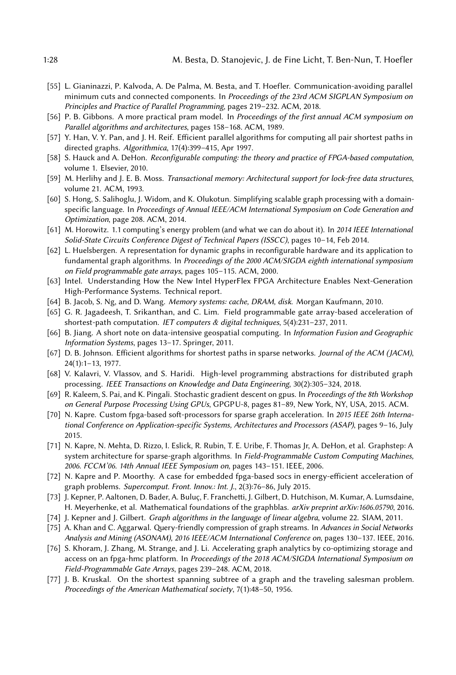- <span id="page-27-11"></span>[55] L. Gianinazzi, P. Kalvoda, A. De Palma, M. Besta, and T. Hoefler. Communication-avoiding parallel minimum cuts and connected components. In Proceedings of the 23rd ACM SIGPLAN Symposium on Principles and Practice of Parallel Programming, pages 219–232. ACM, 2018.
- <span id="page-27-5"></span>[56] P. B. Gibbons. A more practical pram model. In Proceedings of the first annual ACM symposium on Parallel algorithms and architectures, pages 158–168. ACM, 1989.
- <span id="page-27-4"></span>[57] Y. Han, V. Y. Pan, and J. H. Reif. Efficient parallel algorithms for computing all pair shortest paths in directed graphs. Algorithmica, 17(4):399–415, Apr 1997.
- <span id="page-27-12"></span>[58] S. Hauck and A. DeHon. Reconfigurable computing: the theory and practice of FPGA-based computation, volume 1. Elsevier, 2010.
- <span id="page-27-17"></span>[59] M. Herlihy and J. E. B. Moss. Transactional memory: Architectural support for lock-free data structures, volume 21. ACM, 1993.
- <span id="page-27-18"></span>[60] S. Hong, S. Salihoglu, J. Widom, and K. Olukotun. Simplifying scalable graph processing with a domainspecific language. In Proceedings of Annual IEEE/ACM International Symposium on Code Generation and Optimization, page 208. ACM, 2014.
- <span id="page-27-13"></span>[61] M. Horowitz. 1.1 computing's energy problem (and what we can do about it). In 2014 IEEE International Solid-State Circuits Conference Digest of Technical Papers (ISSCC), pages 10–14, Feb 2014.
- <span id="page-27-20"></span>[62] L. Huelsbergen. A representation for dynamic graphs in reconfigurable hardware and its application to fundamental graph algorithms. In Proceedings of the 2000 ACM/SIGDA eighth international symposium on Field programmable gate arrays, pages 105–115. ACM, 2000.
- <span id="page-27-14"></span>[63] Intel. Understanding How the New Intel HyperFlex FPGA Architecture Enables Next-Generation High-Performance Systems. Technical report.
- <span id="page-27-22"></span>[64] B. Jacob, S. Ng, and D. Wang. Memory systems: cache, DRAM, disk. Morgan Kaufmann, 2010.
- <span id="page-27-19"></span>[65] G. R. Jagadeesh, T. Srikanthan, and C. Lim. Field programmable gate array-based acceleration of shortest-path computation. IET computers & digital techniques, 5(4):231–237, 2011.
- <span id="page-27-0"></span>[66] B. Jiang. A short note on data-intensive geospatial computing. In Information Fusion and Geographic Information Systems, pages 13–17. Springer, 2011.
- <span id="page-27-6"></span>[67] D. B. Johnson. Efficient algorithms for shortest paths in sparse networks. Journal of the ACM (JACM), 24(1):1–13, 1977.
- <span id="page-27-9"></span>[68] V. Kalavri, V. Vlassov, and S. Haridi. High-level programming abstractions for distributed graph processing. IEEE Transactions on Knowledge and Data Engineering, 30(2):305–324, 2018.
- <span id="page-27-8"></span>[69] R. Kaleem, S. Pai, and K. Pingali. Stochastic gradient descent on gpus. In Proceedings of the 8th Workshop on General Purpose Processing Using GPUs, GPGPU-8, pages 81–89, New York, NY, USA, 2015. ACM.
- <span id="page-27-16"></span>[70] N. Kapre. Custom fpga-based soft-processors for sparse graph acceleration. In 2015 IEEE 26th International Conference on Application-specific Systems, Architectures and Processors (ASAP), pages 9–16, July 2015.
- <span id="page-27-15"></span>[71] N. Kapre, N. Mehta, D. Rizzo, I. Eslick, R. Rubin, T. E. Uribe, F. Thomas Jr, A. DeHon, et al. Graphstep: A system architecture for sparse-graph algorithms. In Field-Programmable Custom Computing Machines, 2006. FCCM'06. 14th Annual IEEE Symposium on, pages 143–151. IEEE, 2006.
- <span id="page-27-21"></span>[72] N. Kapre and P. Moorthy. A case for embedded fpga-based socs in energy-efficient acceleration of graph problems. Supercomput. Front. Innov.: Int. J., 2(3):76–86, July 2015.
- <span id="page-27-2"></span>[73] J. Kepner, P. Aaltonen, D. Bader, A. Buluç, F. Franchetti, J. Gilbert, D. Hutchison, M. Kumar, A. Lumsdaine, H. Meyerhenke, et al. Mathematical foundations of the graphblas. arXiv preprint arXiv:1606.05790, 2016.
- <span id="page-27-3"></span>[74] J. Kepner and J. Gilbert. *Graph algorithms in the language of linear algebra*, volume 22. SIAM, 2011.
- <span id="page-27-10"></span>[75] A. Khan and C. Aggarwal. Query-friendly compression of graph streams. In Advances in Social Networks Analysis and Mining (ASONAM), 2016 IEEE/ACM International Conference on, pages 130–137. IEEE, 2016.
- <span id="page-27-1"></span>[76] S. Khoram, J. Zhang, M. Strange, and J. Li. Accelerating graph analytics by co-optimizing storage and access on an fpga-hmc platform. In Proceedings of the 2018 ACM/SIGDA International Symposium on Field-Programmable Gate Arrays, pages 239–248. ACM, 2018.
- <span id="page-27-7"></span>[77] J. B. Kruskal. On the shortest spanning subtree of a graph and the traveling salesman problem. Proceedings of the American Mathematical society, 7(1):48–50, 1956.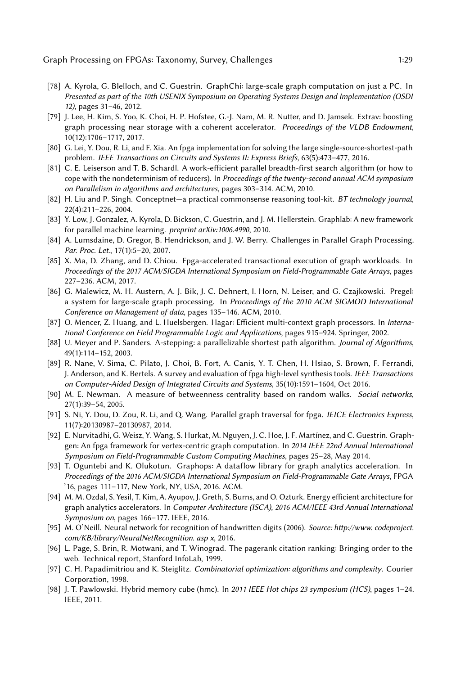- <span id="page-28-13"></span>[78] A. Kyrola, G. Blelloch, and C. Guestrin. GraphChi: large-scale graph computation on just a PC. In Presented as part of the 10th USENIX Symposium on Operating Systems Design and Implementation (OSDI 12), pages 31–46, 2012.
- <span id="page-28-1"></span>[79] J. Lee, H. Kim, S. Yoo, K. Choi, H. P. Hofstee, G.-J. Nam, M. R. Nutter, and D. Jamsek. Extrav: boosting graph processing near storage with a coherent accelerator. Proceedings of the VLDB Endowment, 10(12):1706–1717, 2017.
- <span id="page-28-2"></span>[80] G. Lei, Y. Dou, R. Li, and F. Xia. An fpga implementation for solving the large single-source-shortest-path problem. IEEE Transactions on Circuits and Systems II: Express Briefs, 63(5):473–477, 2016.
- <span id="page-28-6"></span>[81] C. E. Leiserson and T. B. Schardl. A work-efficient parallel breadth-first search algorithm (or how to cope with the nondeterminism of reducers). In Proceedings of the twenty-second annual ACM symposium on Parallelism in algorithms and architectures, pages 303–314. ACM, 2010.
- <span id="page-28-11"></span>[82] H. Liu and P. Singh. Conceptnet-a practical commonsense reasoning tool-kit. BT technology journal, 22(4):211–226, 2004.
- <span id="page-28-14"></span>[83] Y. Low, J. Gonzalez, A. Kyrola, D. Bickson, C. Guestrin, and J. M. Hellerstein. Graphlab: A new framework for parallel machine learning. preprint arXiv:1006.4990, 2010.
- <span id="page-28-0"></span>[84] A. Lumsdaine, D. Gregor, B. Hendrickson, and J. W. Berry. Challenges in Parallel Graph Processing. Par. Proc. Let., 17(1):5–20, 2007.
- <span id="page-28-3"></span>[85] X. Ma, D. Zhang, and D. Chiou. Fpga-accelerated transactional execution of graph workloads. In Proceedings of the 2017 ACM/SIGDA International Symposium on Field-Programmable Gate Arrays, pages 227–236. ACM, 2017.
- <span id="page-28-12"></span>[86] G. Malewicz, M. H. Austern, A. J. Bik, J. C. Dehnert, I. Horn, N. Leiser, and G. Czajkowski. Pregel: a system for large-scale graph processing. In Proceedings of the 2010 ACM SIGMOD International Conference on Management of data, pages 135–146. ACM, 2010.
- <span id="page-28-18"></span>[87] O. Mencer, Z. Huang, and L. Huelsbergen. Hagar: Efficient multi-context graph processors. In International Conference on Field Programmable Logic and Applications, pages 915–924. Springer, 2002.
- <span id="page-28-7"></span>[88] U. Meyer and P. Sanders. ∆-stepping: a parallelizable shortest path algorithm. Journal of Algorithms, 49(1):114–152, 2003.
- <span id="page-28-15"></span>[89] R. Nane, V. Sima, C. Pilato, J. Choi, B. Fort, A. Canis, Y. T. Chen, H. Hsiao, S. Brown, F. Ferrandi, J. Anderson, and K. Bertels. A survey and evaluation of fpga high-level synthesis tools. IEEE Transactions on Computer-Aided Design of Integrated Circuits and Systems, 35(10):1591–1604, Oct 2016.
- <span id="page-28-10"></span>[90] M. E. Newman. A measure of betweenness centrality based on random walks. Social networks, 27(1):39–54, 2005.
- <span id="page-28-19"></span>[91] S. Ni, Y. Dou, D. Zou, R. Li, and Q. Wang. Parallel graph traversal for fpga. IEICE Electronics Express, 11(7):20130987–20130987, 2014.
- <span id="page-28-17"></span>[92] E. Nurvitadhi, G. Weisz, Y. Wang, S. Hurkat, M. Nguyen, J. C. Hoe, J. F. Martínez, and C. Guestrin. Graphgen: An fpga framework for vertex-centric graph computation. In 2014 IEEE 22nd Annual International Symposium on Field-Programmable Custom Computing Machines, pages 25–28, May 2014.
- <span id="page-28-4"></span>[93] T. Oguntebi and K. Olukotun. Graphops: A dataflow library for graph analytics acceleration. In Proceedings of the 2016 ACM/SIGDA International Symposium on Field-Programmable Gate Arrays, FPGA '16, pages 111–117, New York, NY, USA, 2016. ACM.
- <span id="page-28-5"></span>[94] M. M. Ozdal, S. Yesil, T. Kim, A. Ayupov, J. Greth, S. Burns, and O. Ozturk. Energy efficient architecture for graph analytics accelerators. In Computer Architecture (ISCA), 2016 ACM/IEEE 43rd Annual International Symposium on, pages 166–177. IEEE, 2016.
- <span id="page-28-20"></span>[95] M. O'Neill. Neural network for recognition of handwritten digits (2006). Source: http://www. codeproject. com/KB/library/NeuralNetRecognition. asp x, 2016.
- <span id="page-28-9"></span>[96] L. Page, S. Brin, R. Motwani, and T. Winograd. The pagerank citation ranking: Bringing order to the web. Technical report, Stanford InfoLab, 1999.
- <span id="page-28-8"></span>[97] C. H. Papadimitriou and K. Steiglitz. Combinatorial optimization: algorithms and complexity. Courier Corporation, 1998.
- <span id="page-28-16"></span>[98] J. T. Pawlowski. Hybrid memory cube (hmc). In 2011 IEEE Hot chips 23 symposium (HCS), pages 1–24. IEEE, 2011.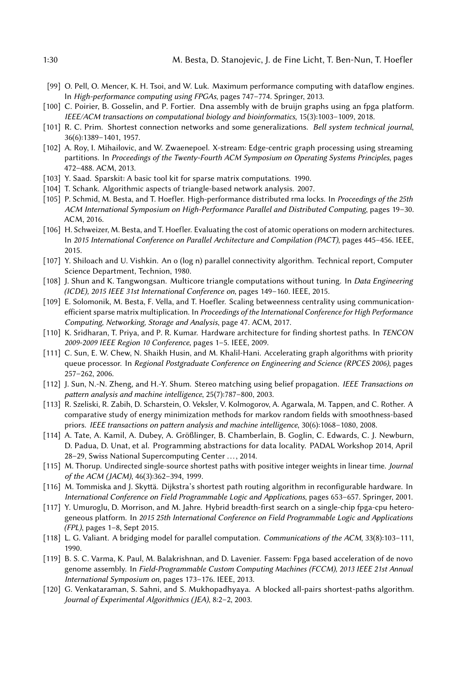- <span id="page-29-12"></span>[99] O. Pell, O. Mencer, K. H. Tsoi, and W. Luk. Maximum performance computing with dataflow engines. In High-performance computing using FPGAs, pages 747–774. Springer, 2013.
- <span id="page-29-20"></span>[100] C. Poirier, B. Gosselin, and P. Fortier. Dna assembly with de bruijn graphs using an fpga platform. IEEE/ACM transactions on computational biology and bioinformatics, 15(3):1003–1009, 2018.
- <span id="page-29-7"></span>[101] R. C. Prim. Shortest connection networks and some generalizations. Bell system technical journal, 36(6):1389–1401, 1957.
- <span id="page-29-10"></span>[102] A. Roy, I. Mihailovic, and W. Zwaenepoel. X-stream: Edge-centric graph processing using streaming partitions. In Proceedings of the Twenty-Fourth ACM Symposium on Operating Systems Principles, pages 472–488. ACM, 2013.
- <span id="page-29-2"></span>[103] Y. Saad. Sparskit: A basic tool kit for sparse matrix computations. 1990.
- <span id="page-29-6"></span>[104] T. Schank. Algorithmic aspects of triangle-based network analysis. 2007.
- <span id="page-29-0"></span>[105] P. Schmid, M. Besta, and T. Hoefler. High-performance distributed rma locks. In Proceedings of the 25th ACM International Symposium on High-Performance Parallel and Distributed Computing, pages 19–30. ACM, 2016.
- <span id="page-29-1"></span>[106] H. Schweizer, M. Besta, and T. Hoefler. Evaluating the cost of atomic operations on modern architectures. In 2015 International Conference on Parallel Architecture and Compilation (PACT), pages 445–456. IEEE, 2015.
- <span id="page-29-4"></span>[107] Y. Shiloach and U. Vishkin. An o (log n) parallel connectivity algorithm. Technical report, Computer Science Department, Technion, 1980.
- <span id="page-29-5"></span>[108] J. Shun and K. Tangwongsan. Multicore triangle computations without tuning. In Data Engineering (ICDE), 2015 IEEE 31st International Conference on, pages 149–160. IEEE, 2015.
- <span id="page-29-8"></span>[109] E. Solomonik, M. Besta, F. Vella, and T. Hoefler. Scaling betweenness centrality using communicationefficient sparse matrix multiplication. In Proceedings of the International Conference for High Performance Computing, Networking, Storage and Analysis, page 47. ACM, 2017.
- <span id="page-29-15"></span>[110] K. Sridharan, T. Priya, and P. R. Kumar. Hardware architecture for finding shortest paths. In TENCON 2009-2009 IEEE Region 10 Conference, pages 1–5. IEEE, 2009.
- <span id="page-29-18"></span>[111] C. Sun, E. W. Chew, N. Shaikh Husin, and M. Khalil-Hani. Accelerating graph algorithms with priority queue processor. In Regional Postgraduate Conference on Engineering and Science (RPCES 2006), pages 257–262, 2006.
- <span id="page-29-13"></span>[112] J. Sun, N.-N. Zheng, and H.-Y. Shum. Stereo matching using belief propagation. IEEE Transactions on pattern analysis and machine intelligence, 25(7):787–800, 2003.
- <span id="page-29-9"></span>[113] R. Szeliski, R. Zabih, D. Scharstein, O. Veksler, V. Kolmogorov, A. Agarwala, M. Tappen, and C. Rother. A comparative study of energy minimization methods for markov random fields with smoothness-based priors. IEEE transactions on pattern analysis and machine intelligence, 30(6):1068–1080, 2008.
- <span id="page-29-17"></span>[114] A. Tate, A. Kamil, A. Dubey, A. Größlinger, B. Chamberlain, B. Goglin, C. Edwards, C. J. Newburn, D. Padua, D. Unat, et al. Programming abstractions for data locality. PADAL Workshop 2014, April 28–29, Swiss National Supercomputing Center ..., 2014.
- <span id="page-29-3"></span>[115] M. Thorup. Undirected single-source shortest paths with positive integer weights in linear time. Journal of the ACM (JACM), 46(3):362–394, 1999.
- <span id="page-29-14"></span>[116] M. Tommiska and J. Skyttä. Dijkstra's shortest path routing algorithm in reconfigurable hardware. In International Conference on Field Programmable Logic and Applications, pages 653–657. Springer, 2001.
- <span id="page-29-16"></span>[117] Y. Umuroglu, D. Morrison, and M. Jahre. Hybrid breadth-first search on a single-chip fpga-cpu heterogeneous platform. In 2015 25th International Conference on Field Programmable Logic and Applications (FPL), pages 1–8, Sept 2015.
- <span id="page-29-11"></span>[118] L. G. Valiant. A bridging model for parallel computation. Communications of the ACM, 33(8):103–111, 1990.
- <span id="page-29-21"></span>[119] B. S. C. Varma, K. Paul, M. Balakrishnan, and D. Lavenier. Fassem: Fpga based acceleration of de novo genome assembly. In Field-Programmable Custom Computing Machines (FCCM), 2013 IEEE 21st Annual International Symposium on, pages 173–176. IEEE, 2013.
- <span id="page-29-19"></span>[120] G. Venkataraman, S. Sahni, and S. Mukhopadhyaya. A blocked all-pairs shortest-paths algorithm. Journal of Experimental Algorithmics (JEA), 8:2–2, 2003.